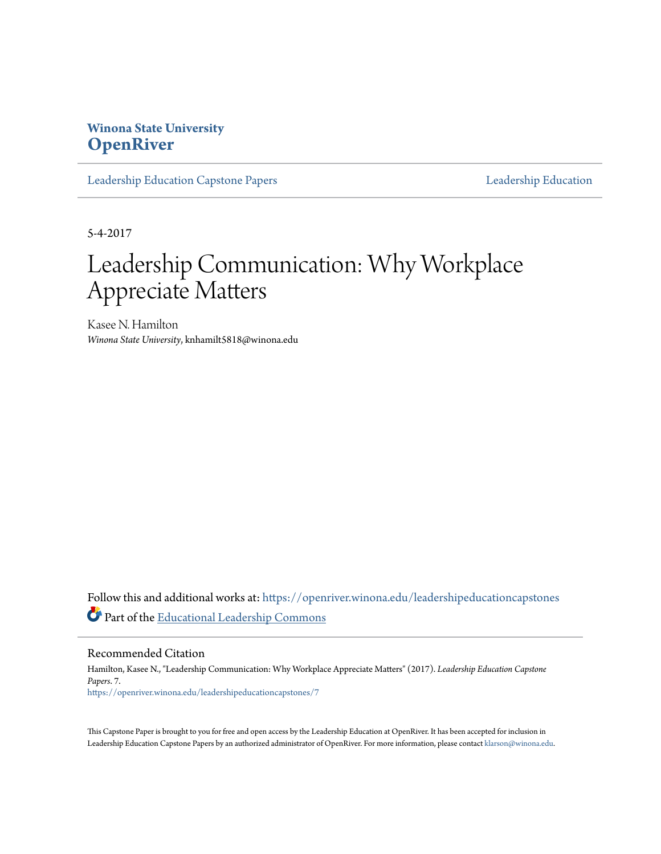# **Winona State University [OpenRiver](https://openriver.winona.edu?utm_source=openriver.winona.edu%2Fleadershipeducationcapstones%2F7&utm_medium=PDF&utm_campaign=PDFCoverPages)**

[Leadership Education Capstone Papers](https://openriver.winona.edu/leadershipeducationcapstones?utm_source=openriver.winona.edu%2Fleadershipeducationcapstones%2F7&utm_medium=PDF&utm_campaign=PDFCoverPages) [Leadership Education](https://openriver.winona.edu/leadershipeducation?utm_source=openriver.winona.edu%2Fleadershipeducationcapstones%2F7&utm_medium=PDF&utm_campaign=PDFCoverPages)

5-4-2017

# Leadership Communication: Why Workplace Appreciate Matters

Kasee N. Hamilton *Winona State University*, knhamilt5818@winona.edu

Follow this and additional works at: [https://openriver.winona.edu/leadershipeducationcapstones](https://openriver.winona.edu/leadershipeducationcapstones?utm_source=openriver.winona.edu%2Fleadershipeducationcapstones%2F7&utm_medium=PDF&utm_campaign=PDFCoverPages) Part of the [Educational Leadership Commons](http://network.bepress.com/hgg/discipline/1230?utm_source=openriver.winona.edu%2Fleadershipeducationcapstones%2F7&utm_medium=PDF&utm_campaign=PDFCoverPages)

Recommended Citation

Hamilton, Kasee N., "Leadership Communication: Why Workplace Appreciate Matters" (2017). *Leadership Education Capstone Papers*. 7. [https://openriver.winona.edu/leadershipeducationcapstones/7](https://openriver.winona.edu/leadershipeducationcapstones/7?utm_source=openriver.winona.edu%2Fleadershipeducationcapstones%2F7&utm_medium=PDF&utm_campaign=PDFCoverPages)

This Capstone Paper is brought to you for free and open access by the Leadership Education at OpenRiver. It has been accepted for inclusion in Leadership Education Capstone Papers by an authorized administrator of OpenRiver. For more information, please contact [klarson@winona.edu.](mailto:klarson@winona.edu)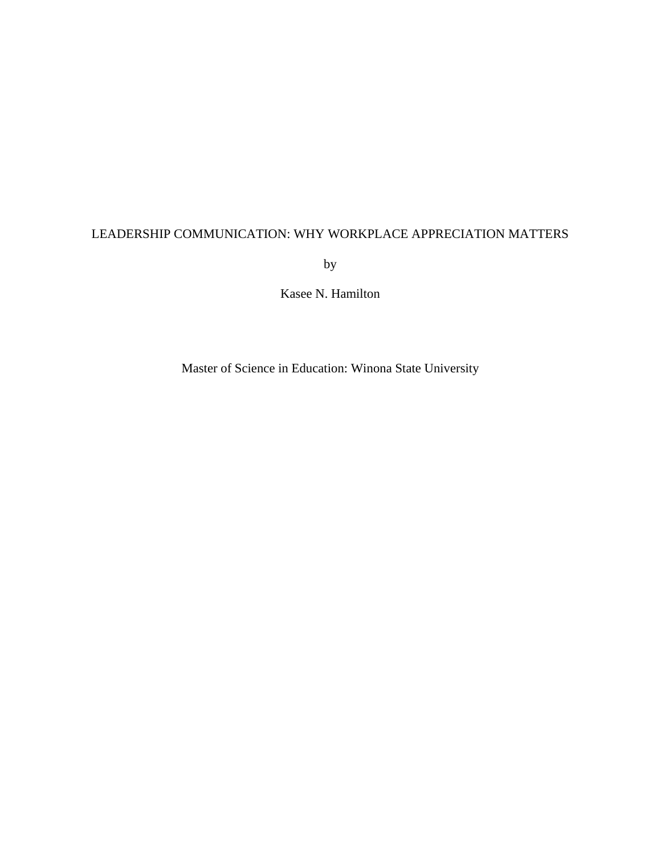# LEADERSHIP COMMUNICATION: WHY WORKPLACE APPRECIATION MATTERS

by

Kasee N. Hamilton

Master of Science in Education: Winona State University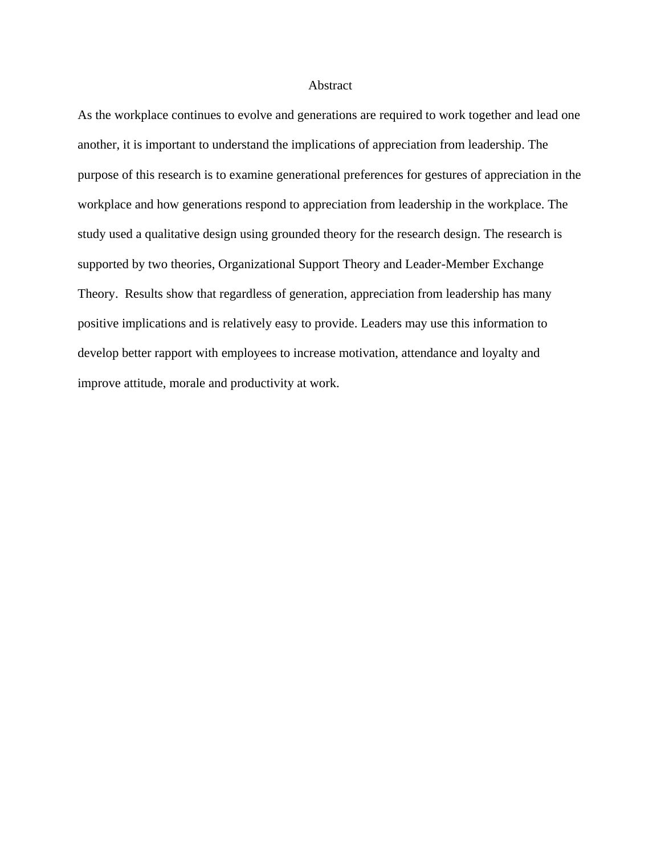#### Abstract

As the workplace continues to evolve and generations are required to work together and lead one another, it is important to understand the implications of appreciation from leadership. The purpose of this research is to examine generational preferences for gestures of appreciation in the workplace and how generations respond to appreciation from leadership in the workplace. The study used a qualitative design using grounded theory for the research design. The research is supported by two theories, Organizational Support Theory and Leader-Member Exchange Theory. Results show that regardless of generation, appreciation from leadership has many positive implications and is relatively easy to provide. Leaders may use this information to develop better rapport with employees to increase motivation, attendance and loyalty and improve attitude, morale and productivity at work.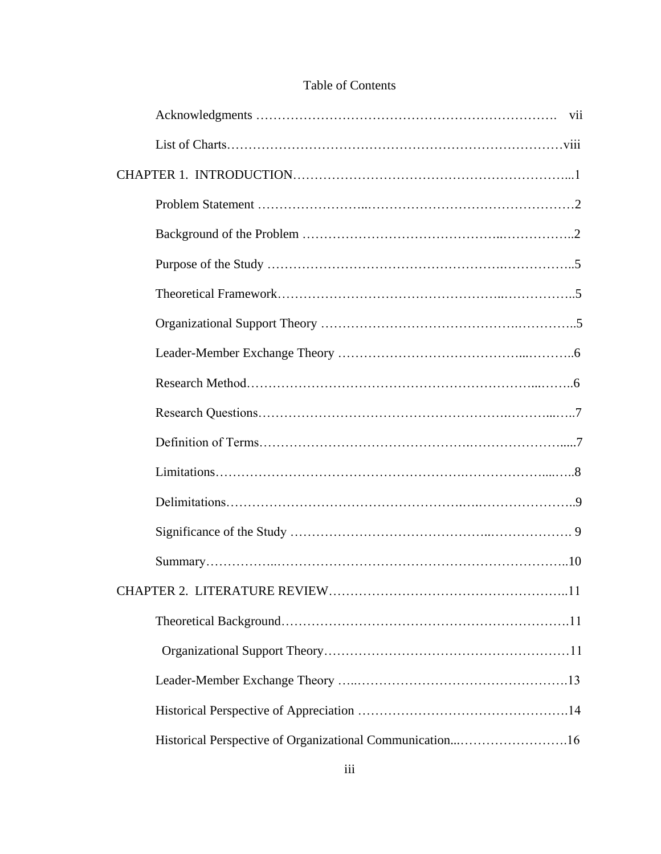| Historical Perspective of Organizational Communication16 |
|----------------------------------------------------------|

# Table of Contents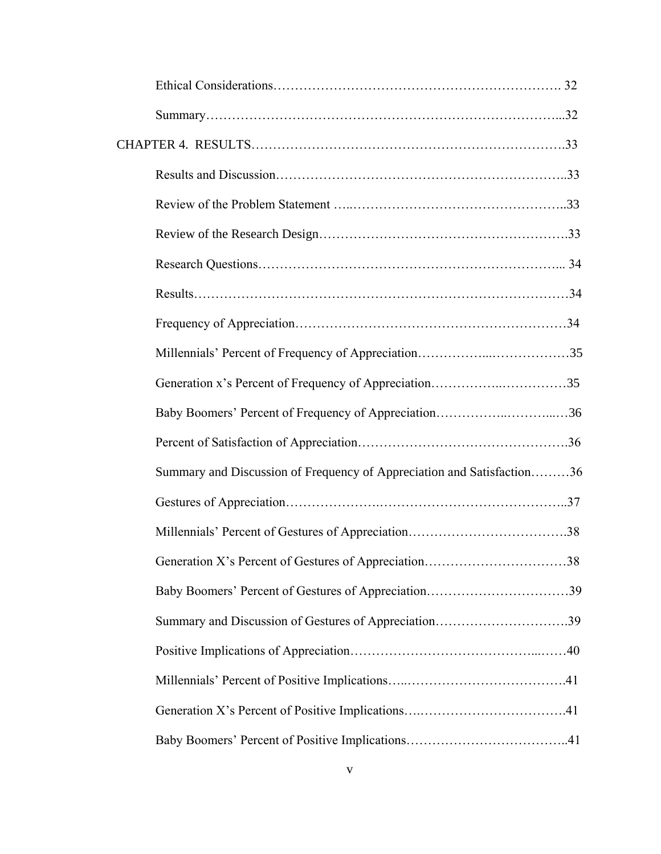| Generation x's Percent of Frequency of Appreciation35                  |  |
|------------------------------------------------------------------------|--|
| Baby Boomers' Percent of Frequency of Appreciation36                   |  |
|                                                                        |  |
| Summary and Discussion of Frequency of Appreciation and Satisfaction36 |  |
|                                                                        |  |
|                                                                        |  |
| Generation X's Percent of Gestures of Appreciation38                   |  |
| Baby Boomers' Percent of Gestures of Appreciation39                    |  |
| Summary and Discussion of Gestures of Appreciation39                   |  |
|                                                                        |  |
|                                                                        |  |
|                                                                        |  |
|                                                                        |  |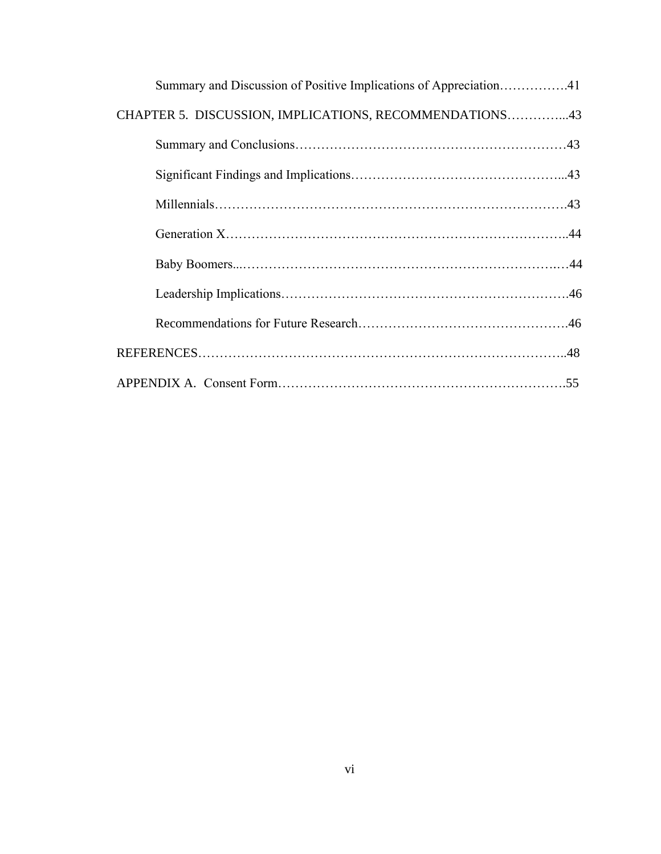| Summary and Discussion of Positive Implications of Appreciation41 |
|-------------------------------------------------------------------|
| CHAPTER 5. DISCUSSION, IMPLICATIONS, RECOMMENDATIONS43            |
|                                                                   |
|                                                                   |
|                                                                   |
|                                                                   |
|                                                                   |
|                                                                   |
|                                                                   |
|                                                                   |
|                                                                   |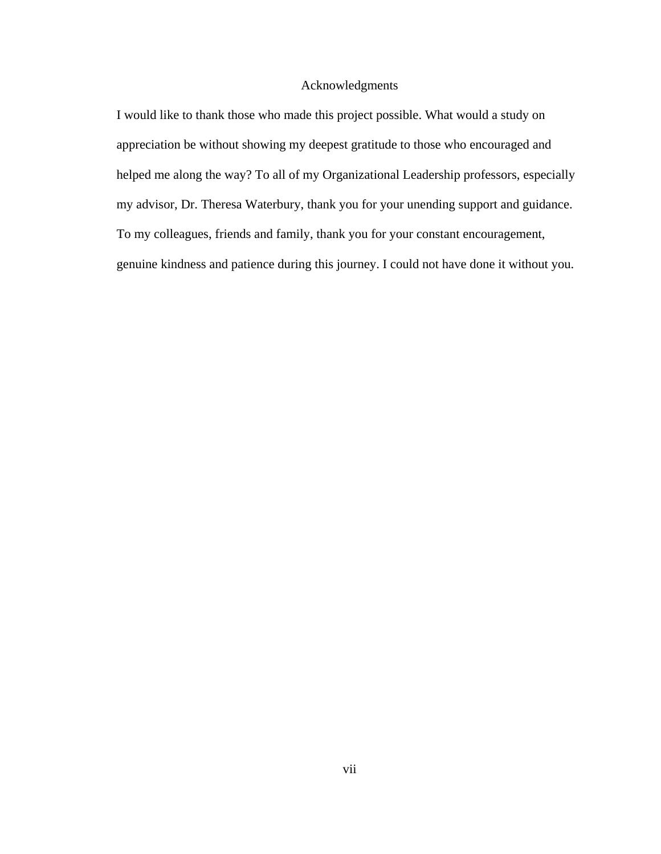# Acknowledgments

I would like to thank those who made this project possible. What would a study on appreciation be without showing my deepest gratitude to those who encouraged and helped me along the way? To all of my Organizational Leadership professors, especially my advisor, Dr. Theresa Waterbury, thank you for your unending support and guidance. To my colleagues, friends and family, thank you for your constant encouragement, genuine kindness and patience during this journey. I could not have done it without you.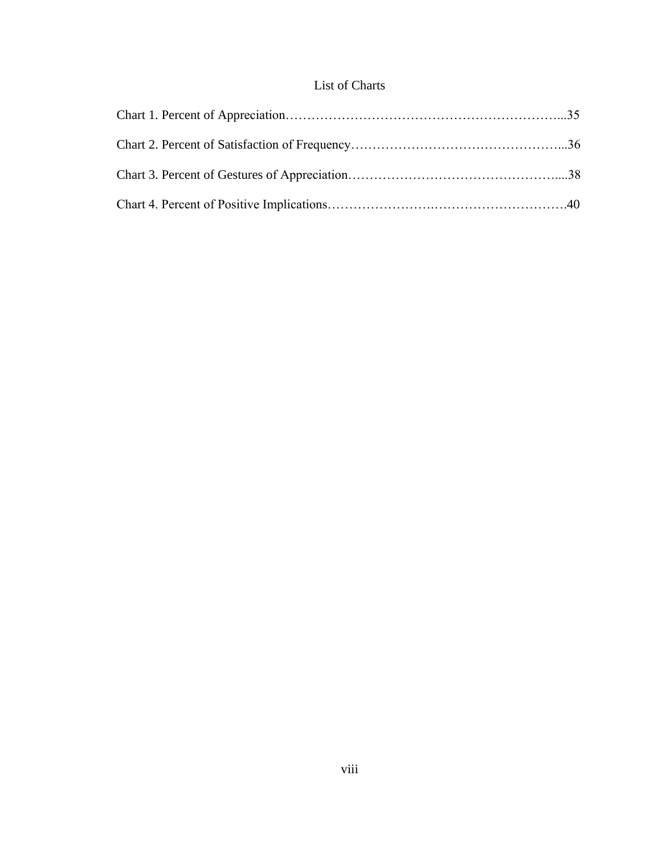# List of Charts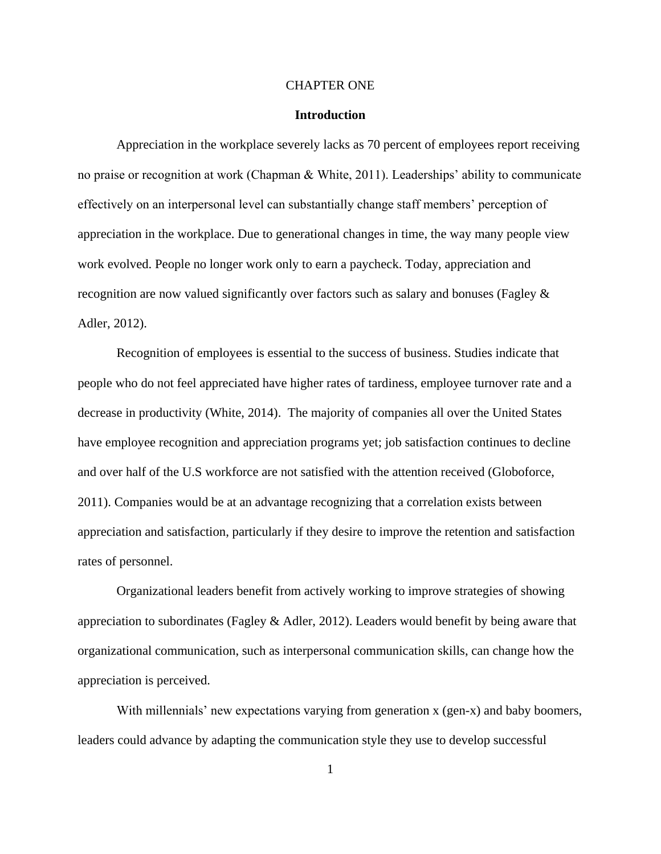#### CHAPTER ONE

#### **Introduction**

Appreciation in the workplace severely lacks as 70 percent of employees report receiving no praise or recognition at work (Chapman & White, 2011). Leaderships' ability to communicate effectively on an interpersonal level can substantially change staff members' perception of appreciation in the workplace. Due to generational changes in time, the way many people view work evolved. People no longer work only to earn a paycheck. Today, appreciation and recognition are now valued significantly over factors such as salary and bonuses (Fagley & Adler, 2012).

Recognition of employees is essential to the success of business. Studies indicate that people who do not feel appreciated have higher rates of tardiness, employee turnover rate and a decrease in productivity (White, 2014). The majority of companies all over the United States have employee recognition and appreciation programs yet; job satisfaction continues to decline and over half of the U.S workforce are not satisfied with the attention received (Globoforce, 2011). Companies would be at an advantage recognizing that a correlation exists between appreciation and satisfaction, particularly if they desire to improve the retention and satisfaction rates of personnel.

Organizational leaders benefit from actively working to improve strategies of showing appreciation to subordinates (Fagley  $\&$  Adler, 2012). Leaders would benefit by being aware that organizational communication, such as interpersonal communication skills, can change how the appreciation is perceived.

With millennials' new expectations varying from generation x (gen-x) and baby boomers, leaders could advance by adapting the communication style they use to develop successful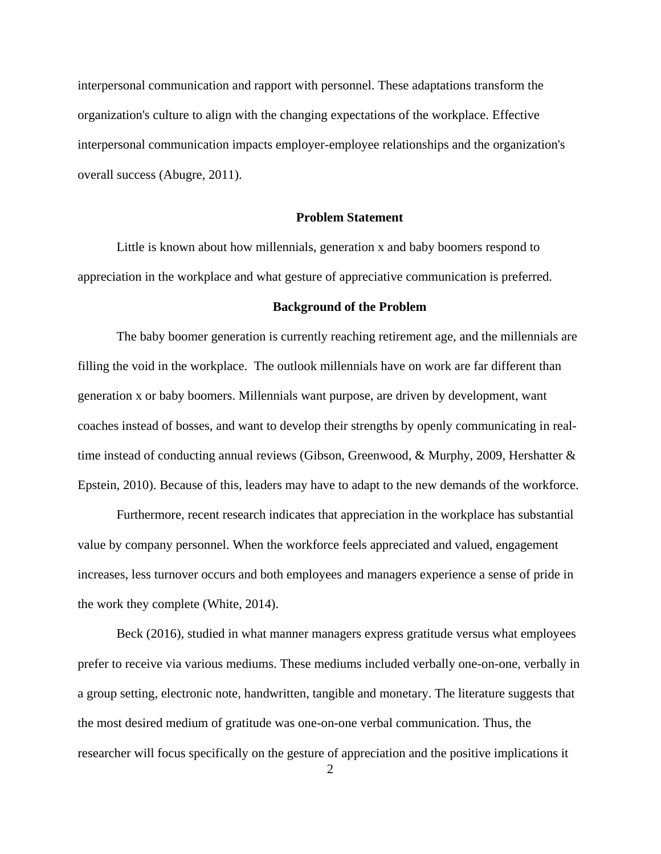interpersonal communication and rapport with personnel. These adaptations transform the organization's culture to align with the changing expectations of the workplace. Effective interpersonal communication impacts employer-employee relationships and the organization's overall success (Abugre, 2011).

#### **Problem Statement**

Little is known about how millennials, generation x and baby boomers respond to appreciation in the workplace and what gesture of appreciative communication is preferred.

#### **Background of the Problem**

The baby boomer generation is currently reaching retirement age, and the millennials are filling the void in the workplace. The outlook millennials have on work are far different than generation x or baby boomers. Millennials want purpose, are driven by development, want coaches instead of bosses, and want to develop their strengths by openly communicating in realtime instead of conducting annual reviews (Gibson, Greenwood, & Murphy, 2009, Hershatter & Epstein, 2010). Because of this, leaders may have to adapt to the new demands of the workforce.

Furthermore, recent research indicates that appreciation in the workplace has substantial value by company personnel. When the workforce feels appreciated and valued, engagement increases, less turnover occurs and both employees and managers experience a sense of pride in the work they complete (White, 2014).

Beck (2016), studied in what manner managers express gratitude versus what employees prefer to receive via various mediums. These mediums included verbally one-on-one, verbally in a group setting, electronic note, handwritten, tangible and monetary. The literature suggests that the most desired medium of gratitude was one-on-one verbal communication. Thus, the researcher will focus specifically on the gesture of appreciation and the positive implications it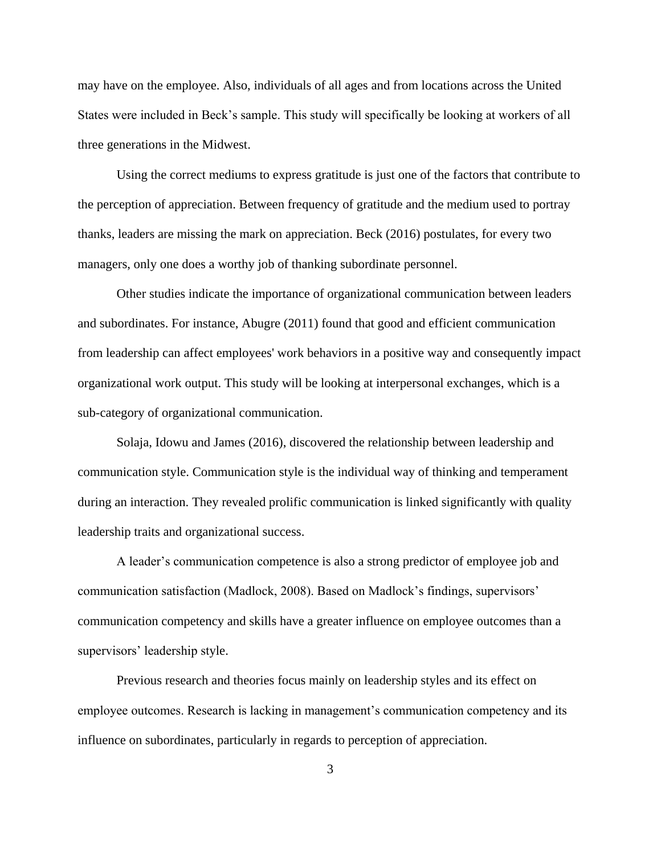may have on the employee. Also, individuals of all ages and from locations across the United States were included in Beck's sample. This study will specifically be looking at workers of all three generations in the Midwest.

Using the correct mediums to express gratitude is just one of the factors that contribute to the perception of appreciation. Between frequency of gratitude and the medium used to portray thanks, leaders are missing the mark on appreciation. Beck (2016) postulates, for every two managers, only one does a worthy job of thanking subordinate personnel.

Other studies indicate the importance of organizational communication between leaders and subordinates. For instance, Abugre (2011) found that good and efficient communication from leadership can affect employees' work behaviors in a positive way and consequently impact organizational work output. This study will be looking at interpersonal exchanges, which is a sub-category of organizational communication.

Solaja, Idowu and James (2016), discovered the relationship between leadership and communication style. Communication style is the individual way of thinking and temperament during an interaction. They revealed prolific communication is linked significantly with quality leadership traits and organizational success.

A leader's communication competence is also a strong predictor of employee job and communication satisfaction (Madlock, 2008). Based on Madlock's findings, supervisors' communication competency and skills have a greater influence on employee outcomes than a supervisors' leadership style.

Previous research and theories focus mainly on leadership styles and its effect on employee outcomes. Research is lacking in management's communication competency and its influence on subordinates, particularly in regards to perception of appreciation.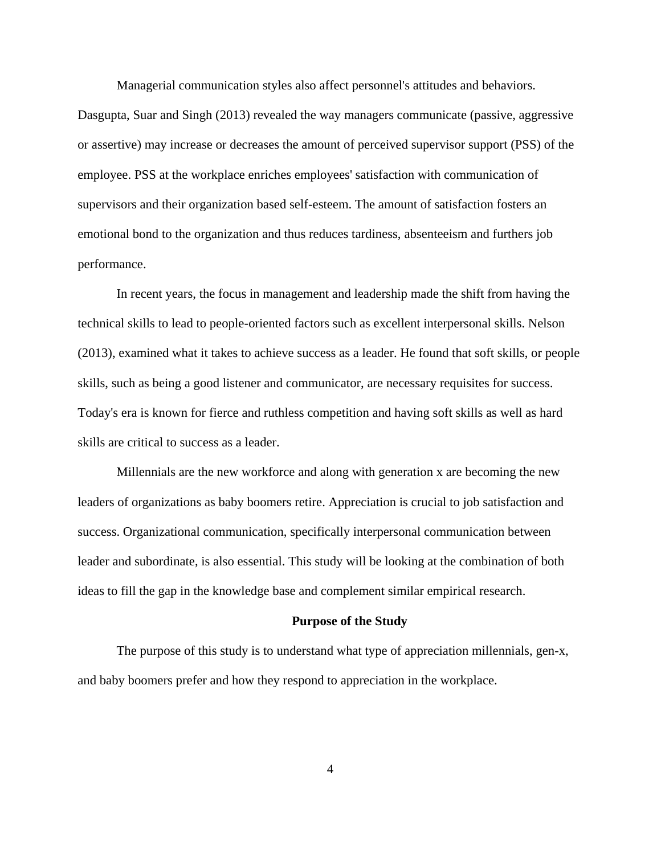Managerial communication styles also affect personnel's attitudes and behaviors.

Dasgupta, Suar and Singh (2013) revealed the way managers communicate (passive, aggressive or assertive) may increase or decreases the amount of perceived supervisor support (PSS) of the employee. PSS at the workplace enriches employees' satisfaction with communication of supervisors and their organization based self-esteem. The amount of satisfaction fosters an emotional bond to the organization and thus reduces tardiness, absenteeism and furthers job performance.

In recent years, the focus in management and leadership made the shift from having the technical skills to lead to people-oriented factors such as excellent interpersonal skills. Nelson (2013), examined what it takes to achieve success as a leader. He found that soft skills, or people skills, such as being a good listener and communicator, are necessary requisites for success. Today's era is known for fierce and ruthless competition and having soft skills as well as hard skills are critical to success as a leader.

Millennials are the new workforce and along with generation x are becoming the new leaders of organizations as baby boomers retire. Appreciation is crucial to job satisfaction and success. Organizational communication, specifically interpersonal communication between leader and subordinate, is also essential. This study will be looking at the combination of both ideas to fill the gap in the knowledge base and complement similar empirical research.

#### **Purpose of the Study**

The purpose of this study is to understand what type of appreciation millennials, gen-x, and baby boomers prefer and how they respond to appreciation in the workplace.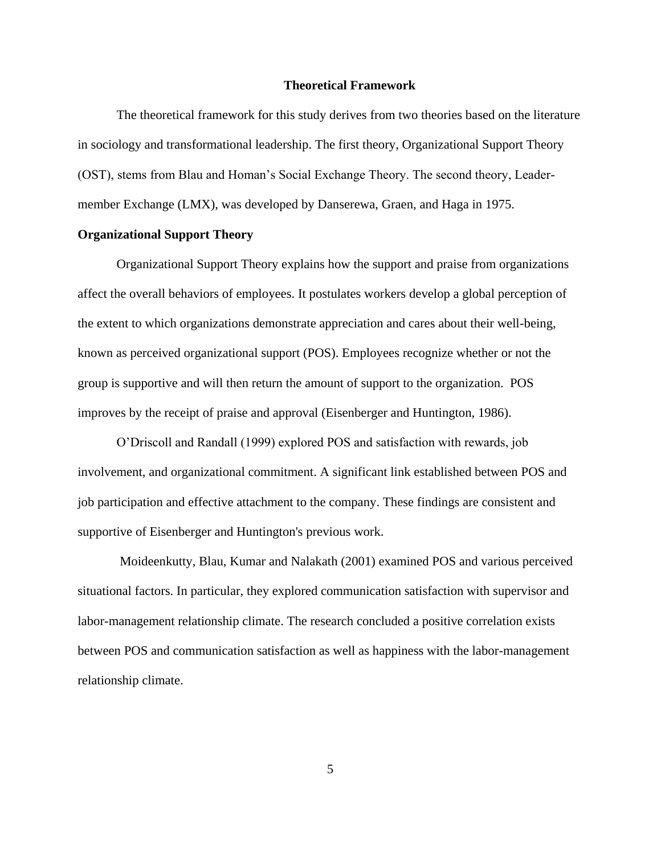#### **Theoretical Framework**

The theoretical framework for this study derives from two theories based on the literature in sociology and transformational leadership. The first theory, Organizational Support Theory (OST), stems from Blau and Homan's Social Exchange Theory. The second theory, Leadermember Exchange (LMX), was developed by Danserewa, Graen, and Haga in 1975.

# **Organizational Support Theory**

Organizational Support Theory explains how the support and praise from organizations affect the overall behaviors of employees. It postulates workers develop a global perception of the extent to which organizations demonstrate appreciation and cares about their well-being, known as perceived organizational support (POS). Employees recognize whether or not the group is supportive and will then return the amount of support to the organization. POS improves by the receipt of praise and approval (Eisenberger and Huntington, 1986).

O'Driscoll and Randall (1999) explored POS and satisfaction with rewards, job involvement, and organizational commitment. A significant link established between POS and job participation and effective attachment to the company. These findings are consistent and supportive of Eisenberger and Huntington's previous work.

Moideenkutty, Blau, Kumar and Nalakath (2001) examined POS and various perceived situational factors. In particular, they explored communication satisfaction with supervisor and labor-management relationship climate. The research concluded a positive correlation exists between POS and communication satisfaction as well as happiness with the labor-management relationship climate.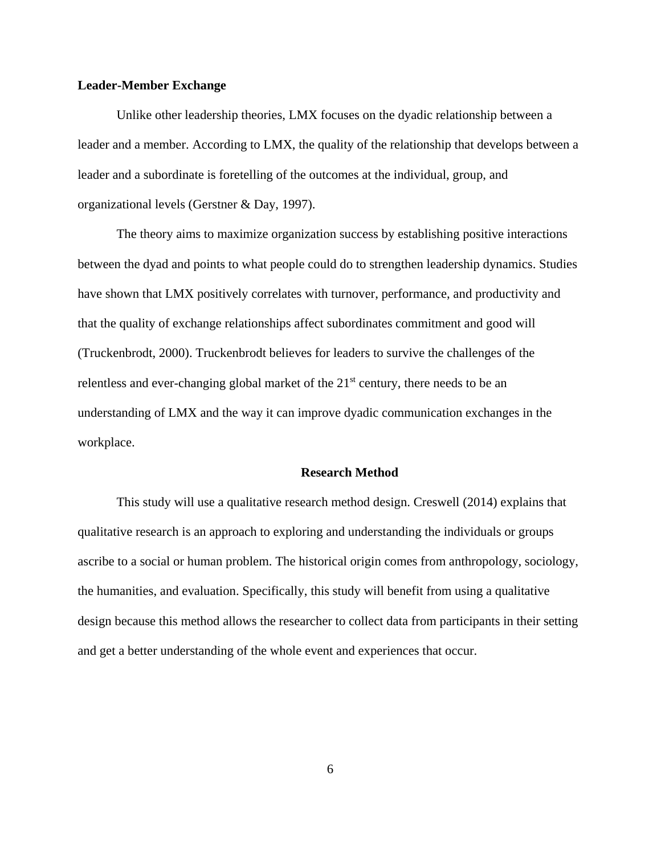# **Leader-Member Exchange**

Unlike other leadership theories, LMX focuses on the dyadic relationship between a leader and a member. According to LMX, the quality of the relationship that develops between a leader and a subordinate is foretelling of the outcomes at the individual, group, and organizational levels (Gerstner & Day, 1997).

The theory aims to maximize organization success by establishing positive interactions between the dyad and points to what people could do to strengthen leadership dynamics. Studies have shown that LMX positively correlates with turnover, performance, and productivity and that the quality of exchange relationships affect subordinates commitment and good will (Truckenbrodt, 2000). Truckenbrodt believes for leaders to survive the challenges of the relentless and ever-changing global market of the 21<sup>st</sup> century, there needs to be an understanding of LMX and the way it can improve dyadic communication exchanges in the workplace.

#### **Research Method**

This study will use a qualitative research method design. Creswell (2014) explains that qualitative research is an approach to exploring and understanding the individuals or groups ascribe to a social or human problem. The historical origin comes from anthropology, sociology, the humanities, and evaluation. Specifically, this study will benefit from using a qualitative design because this method allows the researcher to collect data from participants in their setting and get a better understanding of the whole event and experiences that occur.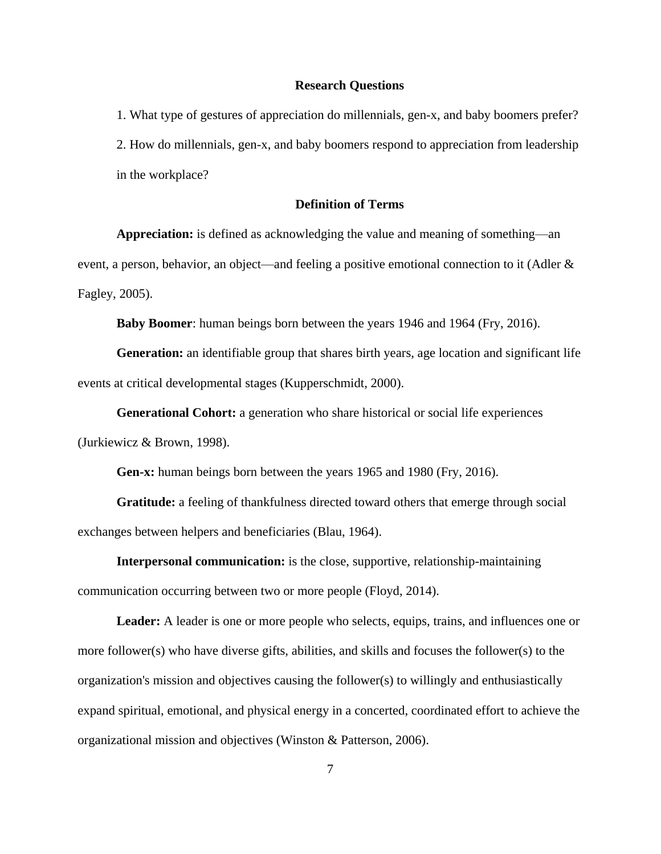#### **Research Questions**

1. What type of gestures of appreciation do millennials, gen-x, and baby boomers prefer? 2. How do millennials, gen-x, and baby boomers respond to appreciation from leadership in the workplace?

# **Definition of Terms**

**Appreciation:** is defined as acknowledging the value and meaning of something—an event, a person, behavior, an object—and feeling a positive emotional connection to it (Adler & Fagley, 2005).

**Baby Boomer**: human beings born between the years 1946 and 1964 (Fry, 2016).

**Generation:** an identifiable group that shares birth years, age location and significant life events at critical developmental stages (Kupperschmidt, 2000).

**Generational Cohort:** a generation who share historical or social life experiences (Jurkiewicz & Brown, 1998).

**Gen-x:** human beings born between the years 1965 and 1980 (Fry, 2016).

**Gratitude:** a feeling of thankfulness directed toward others that emerge through social exchanges between helpers and beneficiaries (Blau, 1964).

**Interpersonal communication:** is the close, supportive, relationship-maintaining communication occurring between two or more people (Floyd, 2014).

Leader: A leader is one or more people who selects, equips, trains, and influences one or more follower(s) who have diverse gifts, abilities, and skills and focuses the follower(s) to the organization's mission and objectives causing the follower(s) to willingly and enthusiastically expand spiritual, emotional, and physical energy in a concerted, coordinated effort to achieve the organizational mission and objectives (Winston & Patterson, 2006).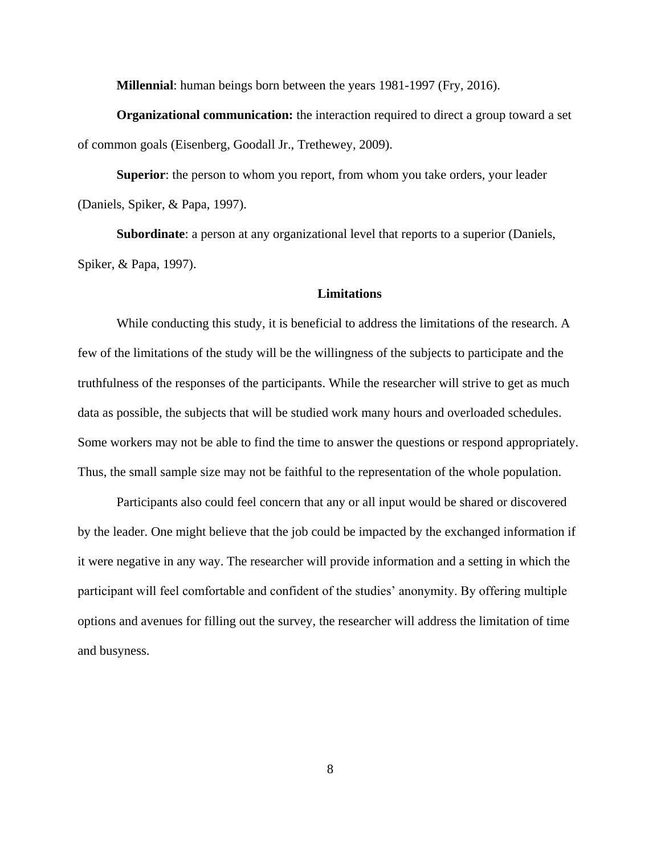**Millennial**: human beings born between the years 1981-1997 (Fry, 2016).

**Organizational communication:** the interaction required to direct a group toward a set of common goals (Eisenberg, Goodall Jr., Trethewey, 2009).

**Superior**: the person to whom you report, from whom you take orders, your leader (Daniels, Spiker, & Papa, 1997).

**Subordinate**: a person at any organizational level that reports to a superior (Daniels, Spiker, & Papa, 1997).

#### **Limitations**

While conducting this study, it is beneficial to address the limitations of the research. A few of the limitations of the study will be the willingness of the subjects to participate and the truthfulness of the responses of the participants. While the researcher will strive to get as much data as possible, the subjects that will be studied work many hours and overloaded schedules. Some workers may not be able to find the time to answer the questions or respond appropriately. Thus, the small sample size may not be faithful to the representation of the whole population.

Participants also could feel concern that any or all input would be shared or discovered by the leader. One might believe that the job could be impacted by the exchanged information if it were negative in any way. The researcher will provide information and a setting in which the participant will feel comfortable and confident of the studies' anonymity. By offering multiple options and avenues for filling out the survey, the researcher will address the limitation of time and busyness.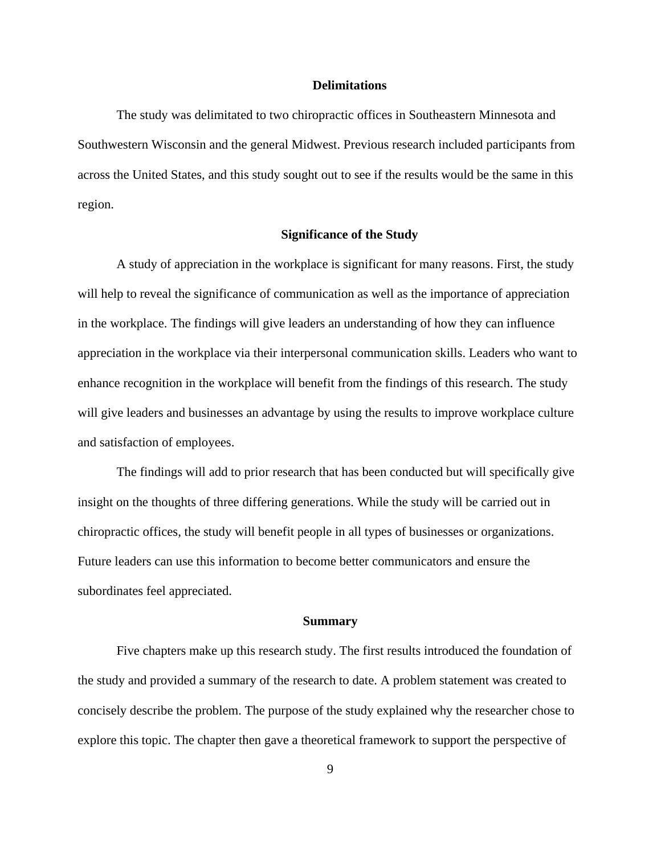#### **Delimitations**

The study was delimitated to two chiropractic offices in Southeastern Minnesota and Southwestern Wisconsin and the general Midwest. Previous research included participants from across the United States, and this study sought out to see if the results would be the same in this region.

# **Significance of the Study**

A study of appreciation in the workplace is significant for many reasons. First, the study will help to reveal the significance of communication as well as the importance of appreciation in the workplace. The findings will give leaders an understanding of how they can influence appreciation in the workplace via their interpersonal communication skills. Leaders who want to enhance recognition in the workplace will benefit from the findings of this research. The study will give leaders and businesses an advantage by using the results to improve workplace culture and satisfaction of employees.

The findings will add to prior research that has been conducted but will specifically give insight on the thoughts of three differing generations. While the study will be carried out in chiropractic offices, the study will benefit people in all types of businesses or organizations. Future leaders can use this information to become better communicators and ensure the subordinates feel appreciated.

#### **Summary**

Five chapters make up this research study. The first results introduced the foundation of the study and provided a summary of the research to date. A problem statement was created to concisely describe the problem. The purpose of the study explained why the researcher chose to explore this topic. The chapter then gave a theoretical framework to support the perspective of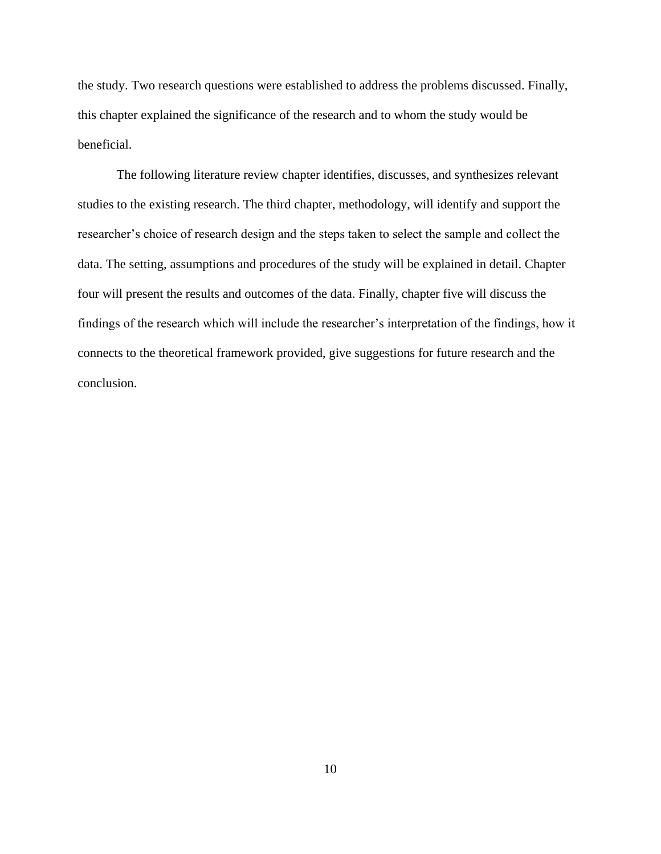the study. Two research questions were established to address the problems discussed. Finally, this chapter explained the significance of the research and to whom the study would be beneficial.

The following literature review chapter identifies, discusses, and synthesizes relevant studies to the existing research. The third chapter, methodology, will identify and support the researcher's choice of research design and the steps taken to select the sample and collect the data. The setting, assumptions and procedures of the study will be explained in detail. Chapter four will present the results and outcomes of the data. Finally, chapter five will discuss the findings of the research which will include the researcher's interpretation of the findings, how it connects to the theoretical framework provided, give suggestions for future research and the conclusion.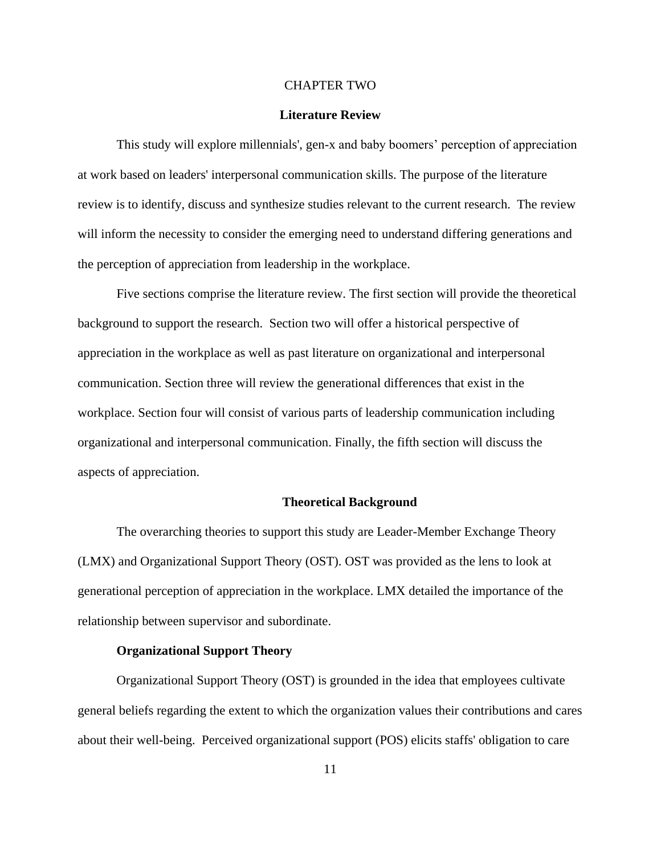#### CHAPTER TWO

#### **Literature Review**

This study will explore millennials', gen-x and baby boomers' perception of appreciation at work based on leaders' interpersonal communication skills. The purpose of the literature review is to identify, discuss and synthesize studies relevant to the current research. The review will inform the necessity to consider the emerging need to understand differing generations and the perception of appreciation from leadership in the workplace.

Five sections comprise the literature review. The first section will provide the theoretical background to support the research. Section two will offer a historical perspective of appreciation in the workplace as well as past literature on organizational and interpersonal communication. Section three will review the generational differences that exist in the workplace. Section four will consist of various parts of leadership communication including organizational and interpersonal communication. Finally, the fifth section will discuss the aspects of appreciation.

#### **Theoretical Background**

The overarching theories to support this study are Leader-Member Exchange Theory (LMX) and Organizational Support Theory (OST). OST was provided as the lens to look at generational perception of appreciation in the workplace. LMX detailed the importance of the relationship between supervisor and subordinate.

#### **Organizational Support Theory**

Organizational Support Theory (OST) is grounded in the idea that employees cultivate general beliefs regarding the extent to which the organization values their contributions and cares about their well-being. Perceived organizational support (POS) elicits staffs' obligation to care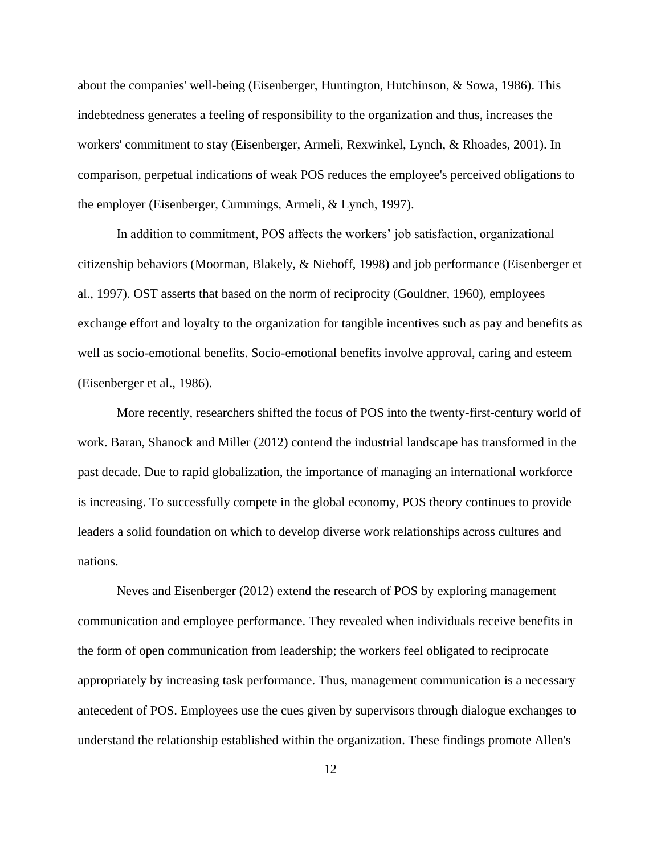about the companies' well-being (Eisenberger, Huntington, Hutchinson, & Sowa, 1986). This indebtedness generates a feeling of responsibility to the organization and thus, increases the workers' commitment to stay (Eisenberger, Armeli, Rexwinkel, Lynch, & Rhoades, 2001). In comparison, perpetual indications of weak POS reduces the employee's perceived obligations to the employer (Eisenberger, Cummings, Armeli, & Lynch, 1997).

In addition to commitment, POS affects the workers' job satisfaction, organizational citizenship behaviors (Moorman, Blakely, & Niehoff, 1998) and job performance (Eisenberger et al., 1997). OST asserts that based on the norm of reciprocity (Gouldner, 1960), employees exchange effort and loyalty to the organization for tangible incentives such as pay and benefits as well as socio-emotional benefits. Socio-emotional benefits involve approval, caring and esteem (Eisenberger et al., 1986).

More recently, researchers shifted the focus of POS into the twenty-first-century world of work. Baran, Shanock and Miller (2012) contend the industrial landscape has transformed in the past decade. Due to rapid globalization, the importance of managing an international workforce is increasing. To successfully compete in the global economy, POS theory continues to provide leaders a solid foundation on which to develop diverse work relationships across cultures and nations.

Neves and Eisenberger (2012) extend the research of POS by exploring management communication and employee performance. They revealed when individuals receive benefits in the form of open communication from leadership; the workers feel obligated to reciprocate appropriately by increasing task performance. Thus, management communication is a necessary antecedent of POS. Employees use the cues given by supervisors through dialogue exchanges to understand the relationship established within the organization. These findings promote Allen's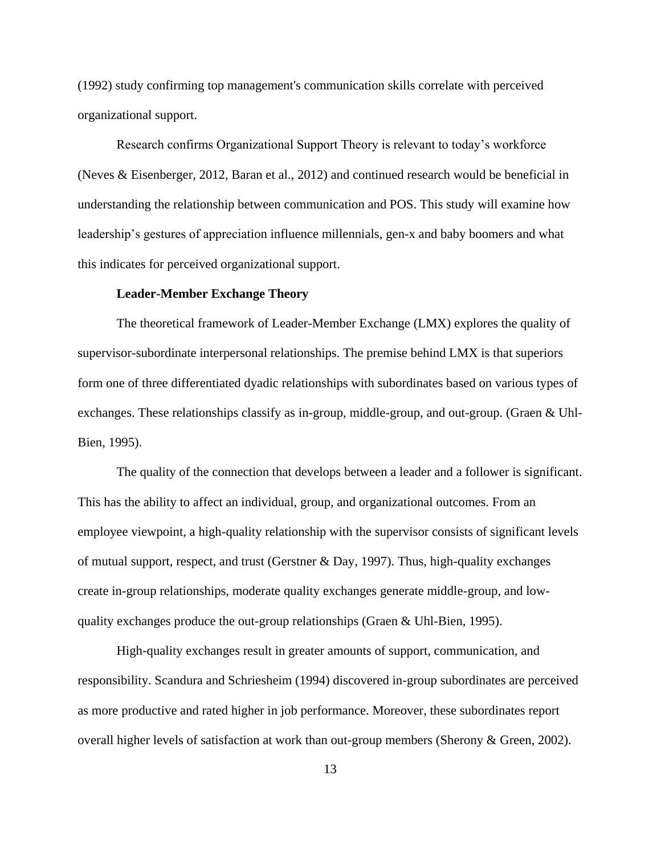(1992) study confirming top management's communication skills correlate with perceived organizational support.

Research confirms Organizational Support Theory is relevant to today's workforce (Neves & Eisenberger, 2012, Baran et al., 2012) and continued research would be beneficial in understanding the relationship between communication and POS. This study will examine how leadership's gestures of appreciation influence millennials, gen-x and baby boomers and what this indicates for perceived organizational support.

#### **Leader-Member Exchange Theory**

The theoretical framework of Leader-Member Exchange (LMX) explores the quality of supervisor-subordinate interpersonal relationships. The premise behind LMX is that superiors form one of three differentiated dyadic relationships with subordinates based on various types of exchanges. These relationships classify as in-group, middle-group, and out-group. (Graen & Uhl-Bien, 1995).

The quality of the connection that develops between a leader and a follower is significant. This has the ability to affect an individual, group, and organizational outcomes. From an employee viewpoint, a high-quality relationship with the supervisor consists of significant levels of mutual support, respect, and trust (Gerstner & Day, 1997). Thus, high-quality exchanges create in-group relationships, moderate quality exchanges generate middle-group, and lowquality exchanges produce the out-group relationships (Graen & Uhl-Bien, 1995).

High-quality exchanges result in greater amounts of support, communication, and responsibility. Scandura and Schriesheim (1994) discovered in-group subordinates are perceived as more productive and rated higher in job performance. Moreover, these subordinates report overall higher levels of satisfaction at work than out-group members (Sherony & Green, 2002).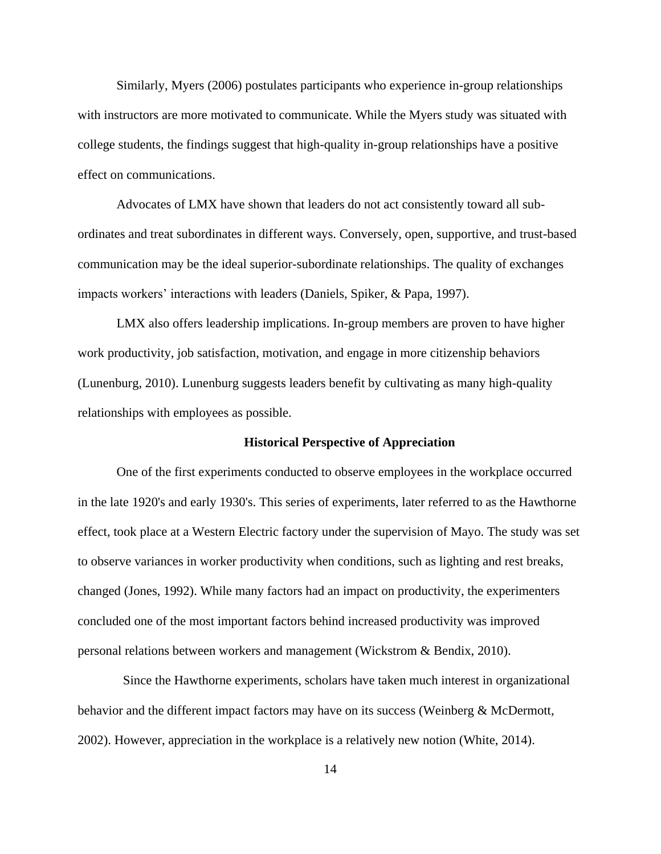Similarly, Myers (2006) postulates participants who experience in-group relationships with instructors are more motivated to communicate. While the Myers study was situated with college students, the findings suggest that high-quality in-group relationships have a positive effect on communications.

Advocates of LMX have shown that leaders do not act consistently toward all subordinates and treat subordinates in different ways. Conversely, open, supportive, and trust-based communication may be the ideal superior-subordinate relationships. The quality of exchanges impacts workers' interactions with leaders (Daniels, Spiker, & Papa, 1997).

LMX also offers leadership implications. In-group members are proven to have higher work productivity, job satisfaction, motivation, and engage in more citizenship behaviors (Lunenburg, 2010). Lunenburg suggests leaders benefit by cultivating as many high-quality relationships with employees as possible.

#### **Historical Perspective of Appreciation**

One of the first experiments conducted to observe employees in the workplace occurred in the late 1920's and early 1930's. This series of experiments, later referred to as the Hawthorne effect, took place at a Western Electric factory under the supervision of Mayo. The study was set to observe variances in worker productivity when conditions, such as lighting and rest breaks, changed (Jones, 1992). While many factors had an impact on productivity, the experimenters concluded one of the most important factors behind increased productivity was improved personal relations between workers and management (Wickstrom & Bendix, 2010).

 Since the Hawthorne experiments, scholars have taken much interest in organizational behavior and the different impact factors may have on its success (Weinberg & McDermott, 2002). However, appreciation in the workplace is a relatively new notion (White, 2014).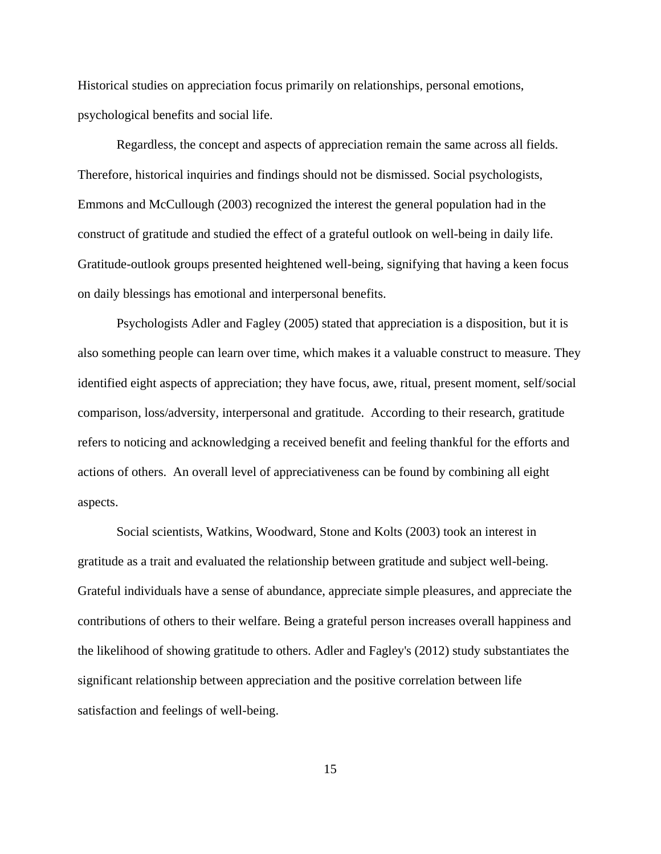Historical studies on appreciation focus primarily on relationships, personal emotions, psychological benefits and social life.

Regardless, the concept and aspects of appreciation remain the same across all fields. Therefore, historical inquiries and findings should not be dismissed. Social psychologists, Emmons and McCullough (2003) recognized the interest the general population had in the construct of gratitude and studied the effect of a grateful outlook on well-being in daily life. Gratitude-outlook groups presented heightened well-being, signifying that having a keen focus on daily blessings has emotional and interpersonal benefits.

Psychologists Adler and Fagley (2005) stated that appreciation is a disposition, but it is also something people can learn over time, which makes it a valuable construct to measure. They identified eight aspects of appreciation; they have focus, awe, ritual, present moment, self/social comparison, loss/adversity, interpersonal and gratitude. According to their research, gratitude refers to noticing and acknowledging a received benefit and feeling thankful for the efforts and actions of others. An overall level of appreciativeness can be found by combining all eight aspects.

Social scientists, Watkins, Woodward, Stone and Kolts (2003) took an interest in gratitude as a trait and evaluated the relationship between gratitude and subject well-being. Grateful individuals have a sense of abundance, appreciate simple pleasures, and appreciate the contributions of others to their welfare. Being a grateful person increases overall happiness and the likelihood of showing gratitude to others. Adler and Fagley's (2012) study substantiates the significant relationship between appreciation and the positive correlation between life satisfaction and feelings of well-being.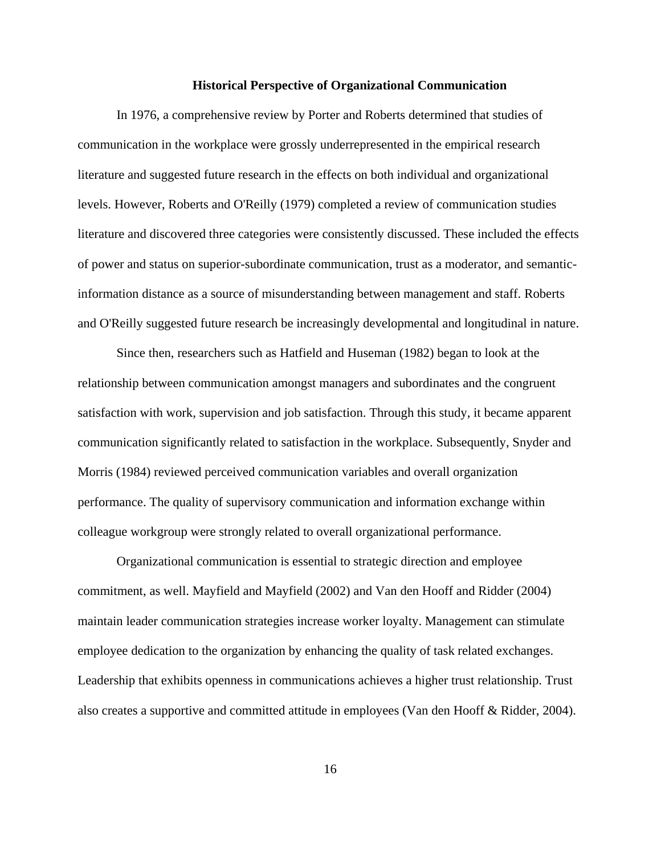#### **Historical Perspective of Organizational Communication**

In 1976, a comprehensive review by Porter and Roberts determined that studies of communication in the workplace were grossly underrepresented in the empirical research literature and suggested future research in the effects on both individual and organizational levels. However, Roberts and O'Reilly (1979) completed a review of communication studies literature and discovered three categories were consistently discussed. These included the effects of power and status on superior-subordinate communication, trust as a moderator, and semanticinformation distance as a source of misunderstanding between management and staff. Roberts and O'Reilly suggested future research be increasingly developmental and longitudinal in nature.

Since then, researchers such as Hatfield and Huseman (1982) began to look at the relationship between communication amongst managers and subordinates and the congruent satisfaction with work, supervision and job satisfaction. Through this study, it became apparent communication significantly related to satisfaction in the workplace. Subsequently, Snyder and Morris (1984) reviewed perceived communication variables and overall organization performance. The quality of supervisory communication and information exchange within colleague workgroup were strongly related to overall organizational performance.

Organizational communication is essential to strategic direction and employee commitment, as well. Mayfield and Mayfield (2002) and Van den Hooff and Ridder (2004) maintain leader communication strategies increase worker loyalty. Management can stimulate employee dedication to the organization by enhancing the quality of task related exchanges. Leadership that exhibits openness in communications achieves a higher trust relationship. Trust also creates a supportive and committed attitude in employees (Van den Hooff & Ridder, 2004).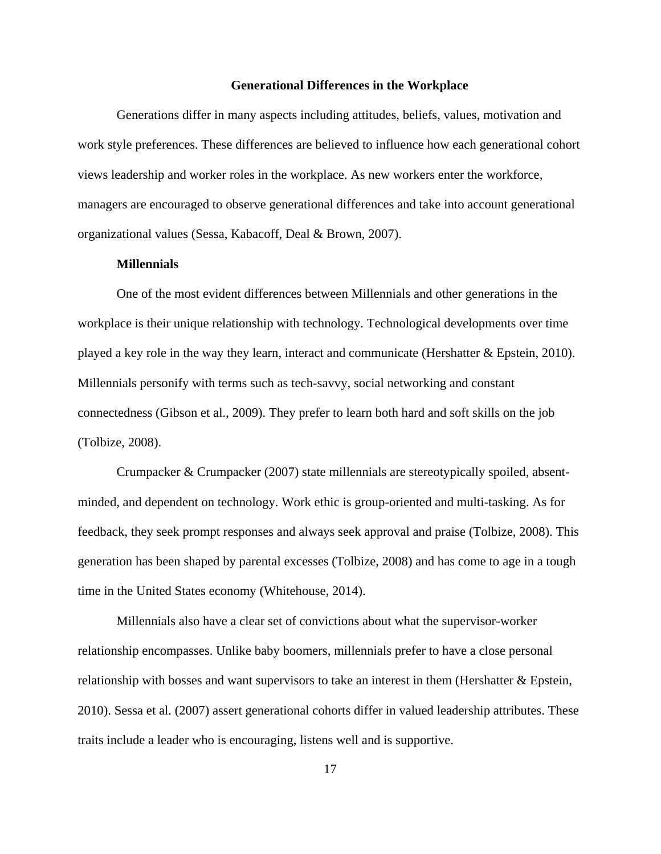#### **Generational Differences in the Workplace**

Generations differ in many aspects including attitudes, beliefs, values, motivation and work style preferences. These differences are believed to influence how each generational cohort views leadership and worker roles in the workplace. As new workers enter the workforce, managers are encouraged to observe generational differences and take into account generational organizational values (Sessa, Kabacoff, Deal & Brown, 2007).

# **Millennials**

One of the most evident differences between Millennials and other generations in the workplace is their unique relationship with technology. Technological developments over time played a key role in the way they learn, interact and communicate (Hershatter & Epstein, 2010). Millennials personify with terms such as tech-savvy, social networking and constant connectedness (Gibson et al., 2009). They prefer to learn both hard and soft skills on the job (Tolbize, 2008).

Crumpacker & Crumpacker (2007) state millennials are stereotypically spoiled, absentminded, and dependent on technology. Work ethic is group-oriented and multi-tasking. As for feedback, they seek prompt responses and always seek approval and praise (Tolbize, 2008). This generation has been shaped by parental excesses (Tolbize, 2008) and has come to age in a tough time in the United States economy (Whitehouse, 2014).

Millennials also have a clear set of convictions about what the supervisor-worker relationship encompasses. Unlike baby boomers, millennials prefer to have a close personal relationship with bosses and want supervisors to take an interest in them (Hershatter & Epstein, 2010). Sessa et al. (2007) assert generational cohorts differ in valued leadership attributes. These traits include a leader who is encouraging, listens well and is supportive.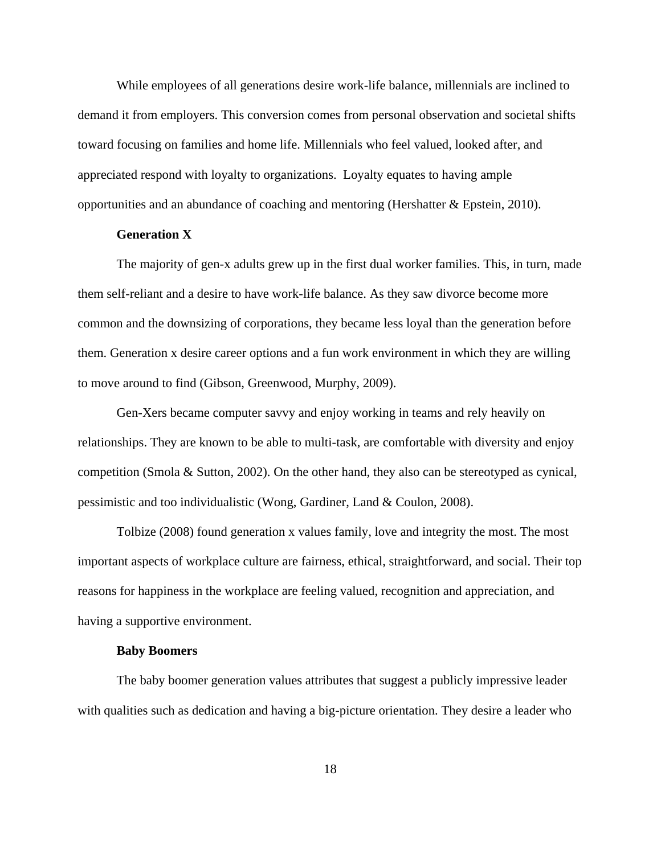While employees of all generations desire work-life balance, millennials are inclined to demand it from employers. This conversion comes from personal observation and societal shifts toward focusing on families and home life. Millennials who feel valued, looked after, and appreciated respond with loyalty to organizations. Loyalty equates to having ample opportunities and an abundance of coaching and mentoring (Hershatter & Epstein, 2010).

# **Generation X**

The majority of gen-x adults grew up in the first dual worker families. This, in turn, made them self-reliant and a desire to have work-life balance. As they saw divorce become more common and the downsizing of corporations, they became less loyal than the generation before them. Generation x desire career options and a fun work environment in which they are willing to move around to find (Gibson, Greenwood, Murphy, 2009).

Gen-Xers became computer savvy and enjoy working in teams and rely heavily on relationships. They are known to be able to multi-task, are comfortable with diversity and enjoy competition (Smola & Sutton, 2002). On the other hand, they also can be stereotyped as cynical, pessimistic and too individualistic (Wong, Gardiner, Land & Coulon, 2008).

Tolbize (2008) found generation x values family, love and integrity the most. The most important aspects of workplace culture are fairness, ethical, straightforward, and social. Their top reasons for happiness in the workplace are feeling valued, recognition and appreciation, and having a supportive environment.

#### **Baby Boomers**

The baby boomer generation values attributes that suggest a publicly impressive leader with qualities such as dedication and having a big-picture orientation. They desire a leader who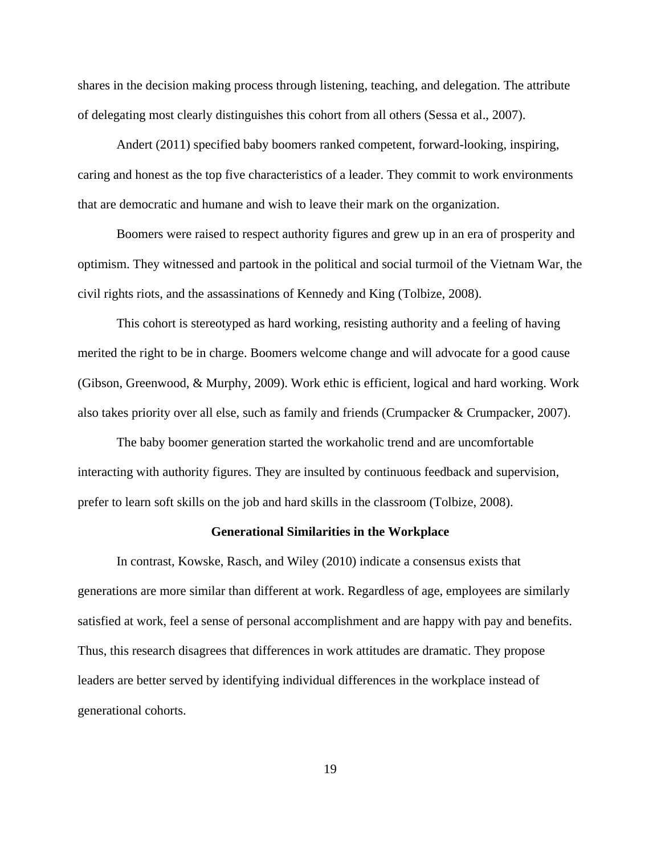shares in the decision making process through listening, teaching, and delegation. The attribute of delegating most clearly distinguishes this cohort from all others (Sessa et al., 2007).

Andert (2011) specified baby boomers ranked competent, forward-looking, inspiring, caring and honest as the top five characteristics of a leader. They commit to work environments that are democratic and humane and wish to leave their mark on the organization.

Boomers were raised to respect authority figures and grew up in an era of prosperity and optimism. They witnessed and partook in the political and social turmoil of the Vietnam War, the civil rights riots, and the assassinations of Kennedy and King (Tolbize, 2008).

This cohort is stereotyped as hard working, resisting authority and a feeling of having merited the right to be in charge. Boomers welcome change and will advocate for a good cause (Gibson, Greenwood, & Murphy, 2009). Work ethic is efficient, logical and hard working. Work also takes priority over all else, such as family and friends (Crumpacker & Crumpacker, 2007).

The baby boomer generation started the workaholic trend and are uncomfortable interacting with authority figures. They are insulted by continuous feedback and supervision, prefer to learn soft skills on the job and hard skills in the classroom (Tolbize, 2008).

#### **Generational Similarities in the Workplace**

In contrast, Kowske, Rasch, and Wiley (2010) indicate a consensus exists that generations are more similar than different at work. Regardless of age, employees are similarly satisfied at work, feel a sense of personal accomplishment and are happy with pay and benefits. Thus, this research disagrees that differences in work attitudes are dramatic. They propose leaders are better served by identifying individual differences in the workplace instead of generational cohorts.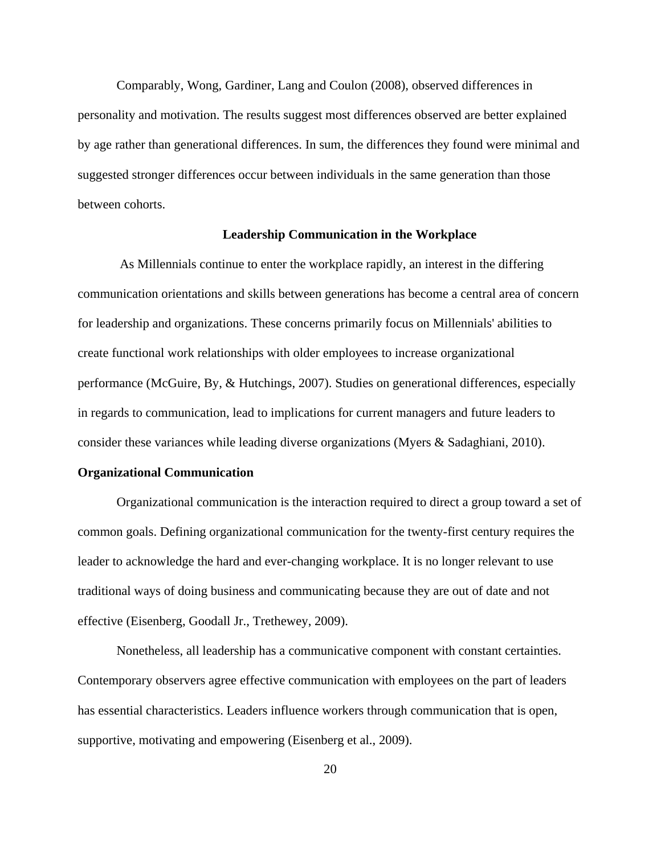Comparably, Wong, Gardiner, Lang and Coulon (2008), observed differences in personality and motivation. The results suggest most differences observed are better explained by age rather than generational differences. In sum, the differences they found were minimal and suggested stronger differences occur between individuals in the same generation than those between cohorts.

### **Leadership Communication in the Workplace**

As Millennials continue to enter the workplace rapidly, an interest in the differing communication orientations and skills between generations has become a central area of concern for leadership and organizations. These concerns primarily focus on Millennials' abilities to create functional work relationships with older employees to increase organizational performance (McGuire, By, & Hutchings, 2007). Studies on generational differences, especially in regards to communication, lead to implications for current managers and future leaders to consider these variances while leading diverse organizations (Myers & Sadaghiani, 2010).

#### **Organizational Communication**

Organizational communication is the interaction required to direct a group toward a set of common goals. Defining organizational communication for the twenty-first century requires the leader to acknowledge the hard and ever-changing workplace. It is no longer relevant to use traditional ways of doing business and communicating because they are out of date and not effective (Eisenberg, Goodall Jr., Trethewey, 2009).

Nonetheless, all leadership has a communicative component with constant certainties. Contemporary observers agree effective communication with employees on the part of leaders has essential characteristics. Leaders influence workers through communication that is open, supportive, motivating and empowering (Eisenberg et al., 2009).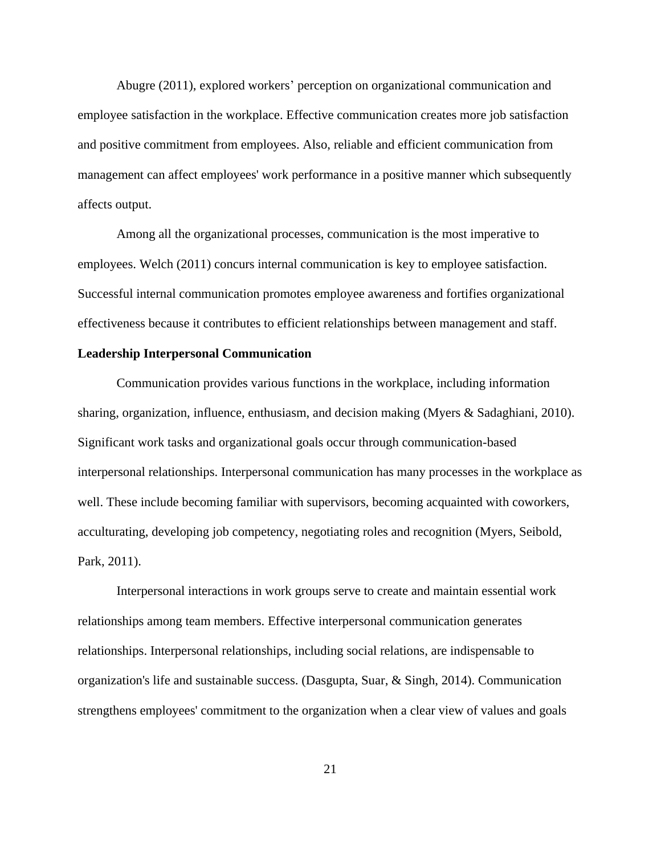Abugre (2011), explored workers' perception on organizational communication and employee satisfaction in the workplace. Effective communication creates more job satisfaction and positive commitment from employees. Also, reliable and efficient communication from management can affect employees' work performance in a positive manner which subsequently affects output.

Among all the organizational processes, communication is the most imperative to employees. Welch (2011) concurs internal communication is key to employee satisfaction. Successful internal communication promotes employee awareness and fortifies organizational effectiveness because it contributes to efficient relationships between management and staff.

#### **Leadership Interpersonal Communication**

Communication provides various functions in the workplace, including information sharing, organization, influence, enthusiasm, and decision making (Myers & Sadaghiani, 2010). Significant work tasks and organizational goals occur through communication-based interpersonal relationships. Interpersonal communication has many processes in the workplace as well. These include becoming familiar with supervisors, becoming acquainted with coworkers, acculturating, developing job competency, negotiating roles and recognition (Myers, Seibold, Park, 2011).

Interpersonal interactions in work groups serve to create and maintain essential work relationships among team members. Effective interpersonal communication generates relationships. Interpersonal relationships, including social relations, are indispensable to organization's life and sustainable success. (Dasgupta, Suar, & Singh, 2014). Communication strengthens employees' commitment to the organization when a clear view of values and goals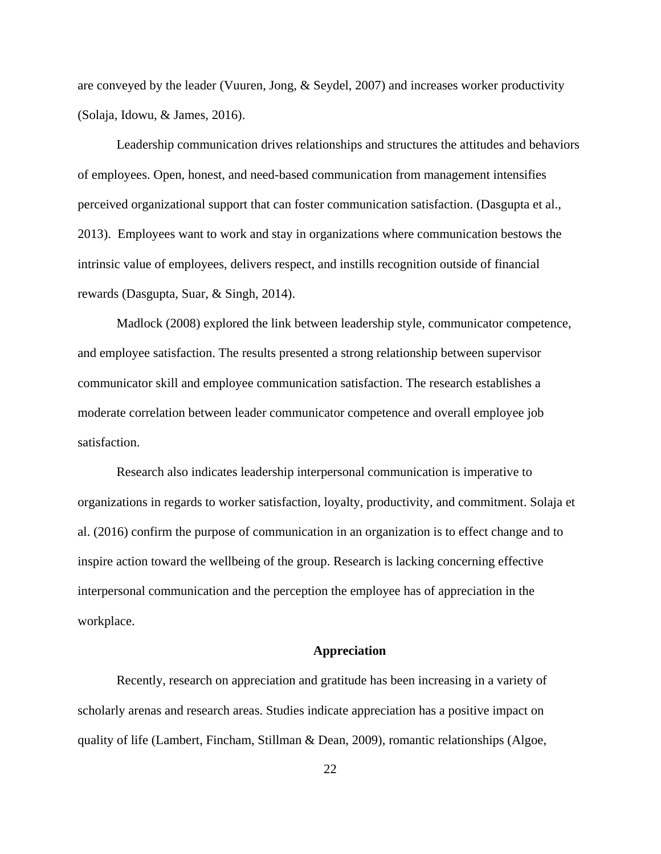are conveyed by the leader (Vuuren, Jong, & Seydel, 2007) and increases worker productivity (Solaja, Idowu, & James, 2016).

Leadership communication drives relationships and structures the attitudes and behaviors of employees. Open, honest, and need-based communication from management intensifies perceived organizational support that can foster communication satisfaction. (Dasgupta et al., 2013). Employees want to work and stay in organizations where communication bestows the intrinsic value of employees, delivers respect, and instills recognition outside of financial rewards (Dasgupta, Suar, & Singh, 2014).

Madlock (2008) explored the link between leadership style, communicator competence, and employee satisfaction. The results presented a strong relationship between supervisor communicator skill and employee communication satisfaction. The research establishes a moderate correlation between leader communicator competence and overall employee job satisfaction.

Research also indicates leadership interpersonal communication is imperative to organizations in regards to worker satisfaction, loyalty, productivity, and commitment. Solaja et al. (2016) confirm the purpose of communication in an organization is to effect change and to inspire action toward the wellbeing of the group. Research is lacking concerning effective interpersonal communication and the perception the employee has of appreciation in the workplace.

#### **Appreciation**

Recently, research on appreciation and gratitude has been increasing in a variety of scholarly arenas and research areas. Studies indicate appreciation has a positive impact on quality of life (Lambert, Fincham, Stillman & Dean, 2009), romantic relationships (Algoe,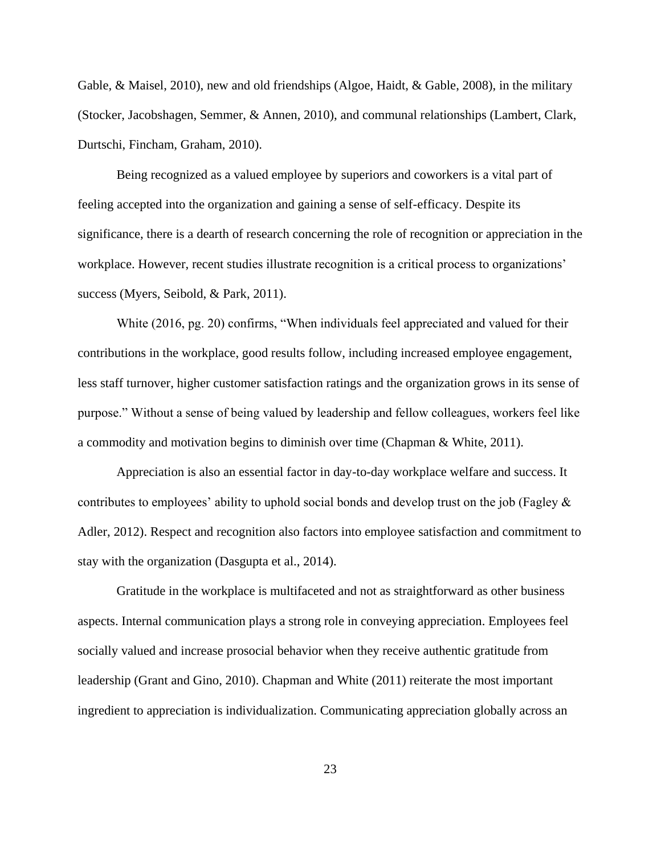Gable, & Maisel, 2010), new and old friendships (Algoe, Haidt, & Gable, 2008), in the military (Stocker, Jacobshagen, Semmer, & Annen, 2010), and communal relationships (Lambert, Clark, Durtschi, Fincham, Graham, 2010).

Being recognized as a valued employee by superiors and coworkers is a vital part of feeling accepted into the organization and gaining a sense of self-efficacy. Despite its significance, there is a dearth of research concerning the role of recognition or appreciation in the workplace. However, recent studies illustrate recognition is a critical process to organizations' success (Myers, Seibold, & Park, 2011).

White (2016, pg. 20) confirms, "When individuals feel appreciated and valued for their contributions in the workplace, good results follow, including increased employee engagement, less staff turnover, higher customer satisfaction ratings and the organization grows in its sense of purpose." Without a sense of being valued by leadership and fellow colleagues, workers feel like a commodity and motivation begins to diminish over time (Chapman & White, 2011).

Appreciation is also an essential factor in day-to-day workplace welfare and success. It contributes to employees' ability to uphold social bonds and develop trust on the job (Fagley & Adler, 2012). Respect and recognition also factors into employee satisfaction and commitment to stay with the organization (Dasgupta et al., 2014).

Gratitude in the workplace is multifaceted and not as straightforward as other business aspects. Internal communication plays a strong role in conveying appreciation. Employees feel socially valued and increase prosocial behavior when they receive authentic gratitude from leadership (Grant and Gino, 2010). Chapman and White (2011) reiterate the most important ingredient to appreciation is individualization. Communicating appreciation globally across an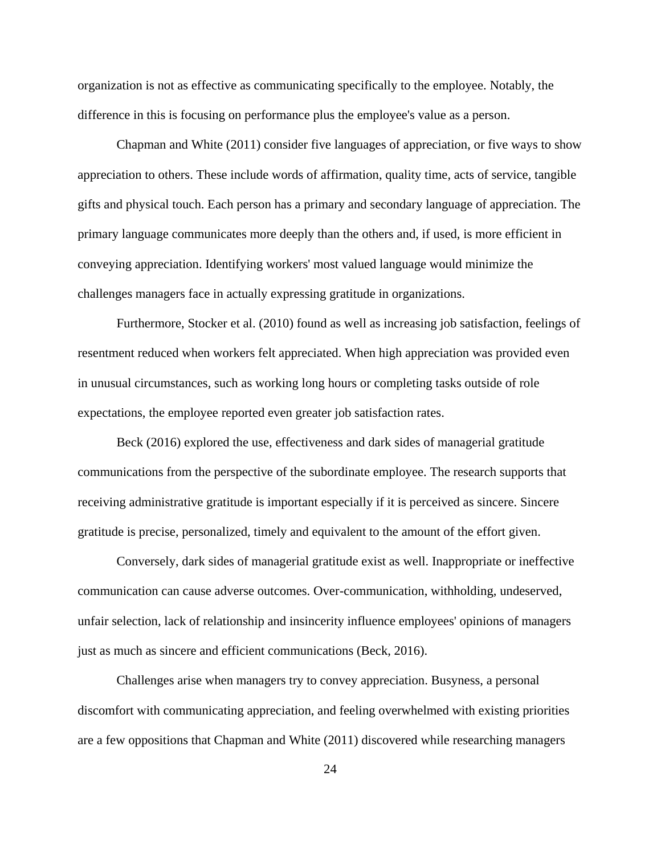organization is not as effective as communicating specifically to the employee. Notably, the difference in this is focusing on performance plus the employee's value as a person.

Chapman and White (2011) consider five languages of appreciation, or five ways to show appreciation to others. These include words of affirmation, quality time, acts of service, tangible gifts and physical touch. Each person has a primary and secondary language of appreciation. The primary language communicates more deeply than the others and, if used, is more efficient in conveying appreciation. Identifying workers' most valued language would minimize the challenges managers face in actually expressing gratitude in organizations.

Furthermore, Stocker et al. (2010) found as well as increasing job satisfaction, feelings of resentment reduced when workers felt appreciated. When high appreciation was provided even in unusual circumstances, such as working long hours or completing tasks outside of role expectations, the employee reported even greater job satisfaction rates.

Beck (2016) explored the use, effectiveness and dark sides of managerial gratitude communications from the perspective of the subordinate employee. The research supports that receiving administrative gratitude is important especially if it is perceived as sincere. Sincere gratitude is precise, personalized, timely and equivalent to the amount of the effort given.

Conversely, dark sides of managerial gratitude exist as well. Inappropriate or ineffective communication can cause adverse outcomes. Over-communication, withholding, undeserved, unfair selection, lack of relationship and insincerity influence employees' opinions of managers just as much as sincere and efficient communications (Beck, 2016).

Challenges arise when managers try to convey appreciation. Busyness, a personal discomfort with communicating appreciation, and feeling overwhelmed with existing priorities are a few oppositions that Chapman and White (2011) discovered while researching managers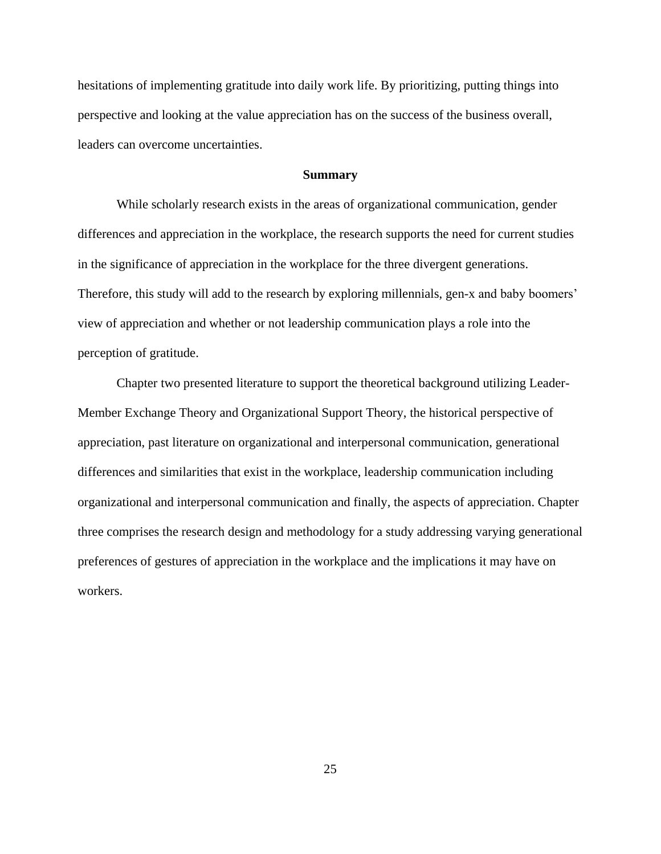hesitations of implementing gratitude into daily work life. By prioritizing, putting things into perspective and looking at the value appreciation has on the success of the business overall, leaders can overcome uncertainties.

# **Summary**

While scholarly research exists in the areas of organizational communication, gender differences and appreciation in the workplace, the research supports the need for current studies in the significance of appreciation in the workplace for the three divergent generations. Therefore, this study will add to the research by exploring millennials, gen-x and baby boomers' view of appreciation and whether or not leadership communication plays a role into the perception of gratitude.

Chapter two presented literature to support the theoretical background utilizing Leader-Member Exchange Theory and Organizational Support Theory, the historical perspective of appreciation, past literature on organizational and interpersonal communication, generational differences and similarities that exist in the workplace, leadership communication including organizational and interpersonal communication and finally, the aspects of appreciation. Chapter three comprises the research design and methodology for a study addressing varying generational preferences of gestures of appreciation in the workplace and the implications it may have on workers.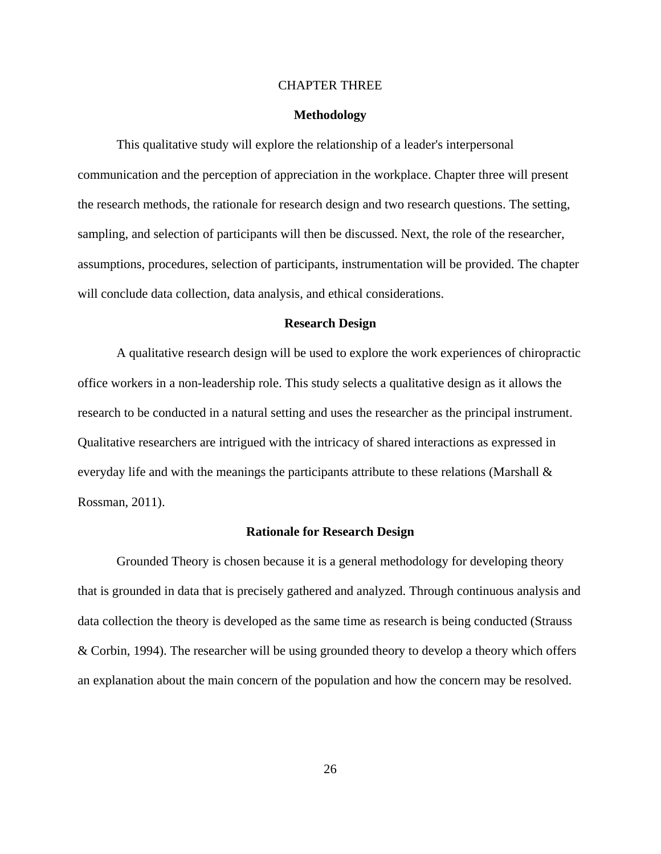#### CHAPTER THREE

#### **Methodology**

This qualitative study will explore the relationship of a leader's interpersonal communication and the perception of appreciation in the workplace. Chapter three will present the research methods, the rationale for research design and two research questions. The setting, sampling, and selection of participants will then be discussed. Next, the role of the researcher, assumptions, procedures, selection of participants, instrumentation will be provided. The chapter will conclude data collection, data analysis, and ethical considerations.

#### **Research Design**

A qualitative research design will be used to explore the work experiences of chiropractic office workers in a non-leadership role. This study selects a qualitative design as it allows the research to be conducted in a natural setting and uses the researcher as the principal instrument. Qualitative researchers are intrigued with the intricacy of shared interactions as expressed in everyday life and with the meanings the participants attribute to these relations (Marshall  $\&$ Rossman, 2011).

#### **Rationale for Research Design**

Grounded Theory is chosen because it is a general methodology for developing theory that is grounded in data that is precisely gathered and analyzed. Through continuous analysis and data collection the theory is developed as the same time as research is being conducted (Strauss & Corbin, 1994). The researcher will be using grounded theory to develop a theory which offers an explanation about the main concern of the population and how the concern may be resolved.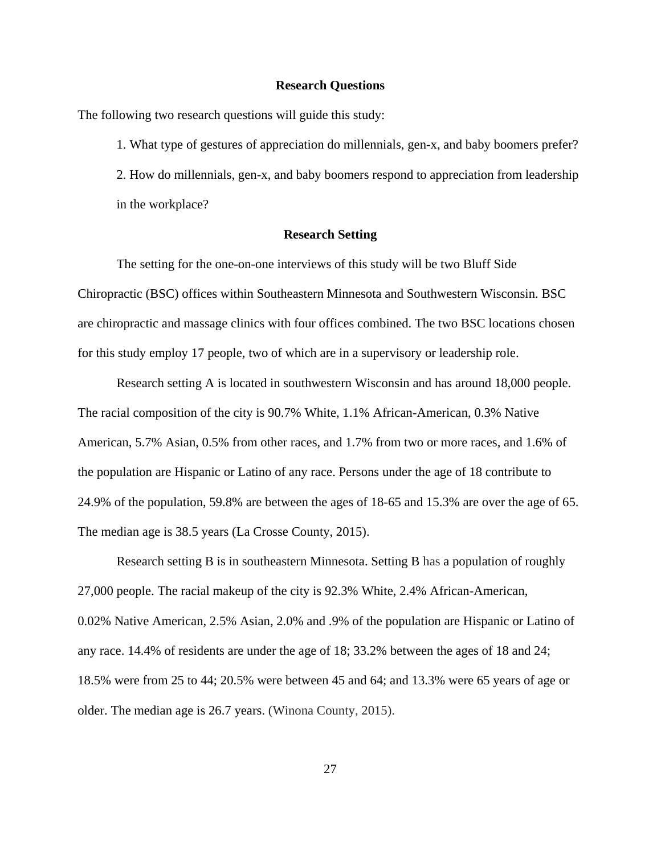#### **Research Questions**

The following two research questions will guide this study:

1. What type of gestures of appreciation do millennials, gen-x, and baby boomers prefer? 2. How do millennials, gen-x, and baby boomers respond to appreciation from leadership in the workplace?

# **Research Setting**

The setting for the one-on-one interviews of this study will be two Bluff Side Chiropractic (BSC) offices within Southeastern Minnesota and Southwestern Wisconsin. BSC are chiropractic and massage clinics with four offices combined. The two BSC locations chosen for this study employ 17 people, two of which are in a supervisory or leadership role.

Research setting A is located in southwestern Wisconsin and has around 18,000 people. The racial composition of the city is 90.7% White, 1.1% African-American, 0.3% Native American, 5.7% Asian, 0.5% from other races, and 1.7% from two or more races, and 1.6% of the population are Hispanic or Latino of any race. Persons under the age of 18 contribute to 24.9% of the population, 59.8% are between the ages of 18-65 and 15.3% are over the age of 65. The median age is 38.5 years (La Crosse County, 2015).

Research setting B is in southeastern Minnesota. Setting B has a population of roughly 27,000 people. The racial makeup of the city is 92.3% White, 2.4% African-American, 0.02% Native American, 2.5% Asian, 2.0% and .9% of the population are Hispanic or Latino of any race. 14.4% of residents are under the age of 18; 33.2% between the ages of 18 and 24; 18.5% were from 25 to 44; 20.5% were between 45 and 64; and 13.3% were 65 years of age or older. The median age is 26.7 years. (Winona County, 2015).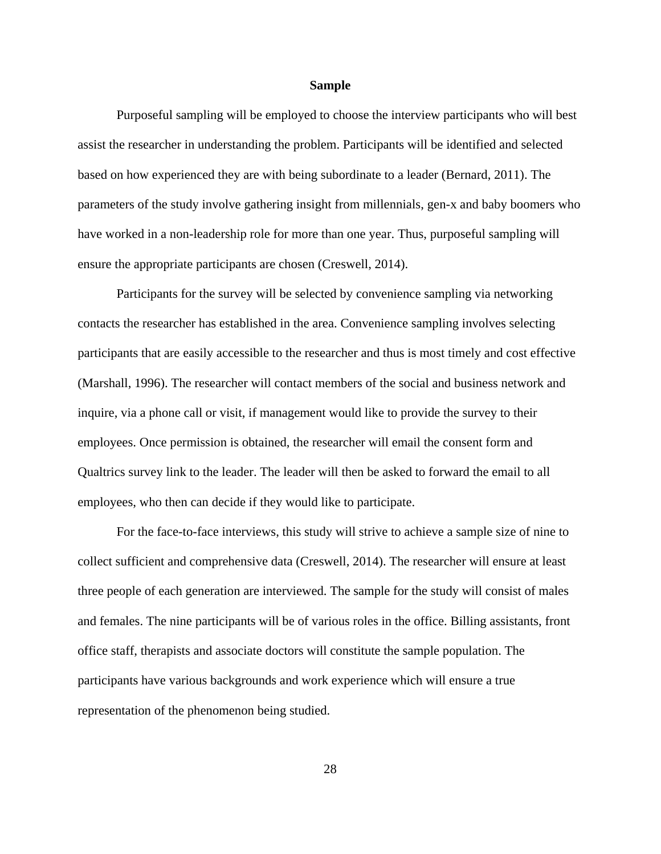#### **Sample**

Purposeful sampling will be employed to choose the interview participants who will best assist the researcher in understanding the problem. Participants will be identified and selected based on how experienced they are with being subordinate to a leader (Bernard, 2011). The parameters of the study involve gathering insight from millennials, gen-x and baby boomers who have worked in a non-leadership role for more than one year. Thus, purposeful sampling will ensure the appropriate participants are chosen (Creswell, 2014).

Participants for the survey will be selected by convenience sampling via networking contacts the researcher has established in the area. Convenience sampling involves selecting participants that are easily accessible to the researcher and thus is most timely and cost effective (Marshall, 1996). The researcher will contact members of the social and business network and inquire, via a phone call or visit, if management would like to provide the survey to their employees. Once permission is obtained, the researcher will email the consent form and Qualtrics survey link to the leader. The leader will then be asked to forward the email to all employees, who then can decide if they would like to participate.

For the face-to-face interviews, this study will strive to achieve a sample size of nine to collect sufficient and comprehensive data (Creswell, 2014). The researcher will ensure at least three people of each generation are interviewed. The sample for the study will consist of males and females. The nine participants will be of various roles in the office. Billing assistants, front office staff, therapists and associate doctors will constitute the sample population. The participants have various backgrounds and work experience which will ensure a true representation of the phenomenon being studied.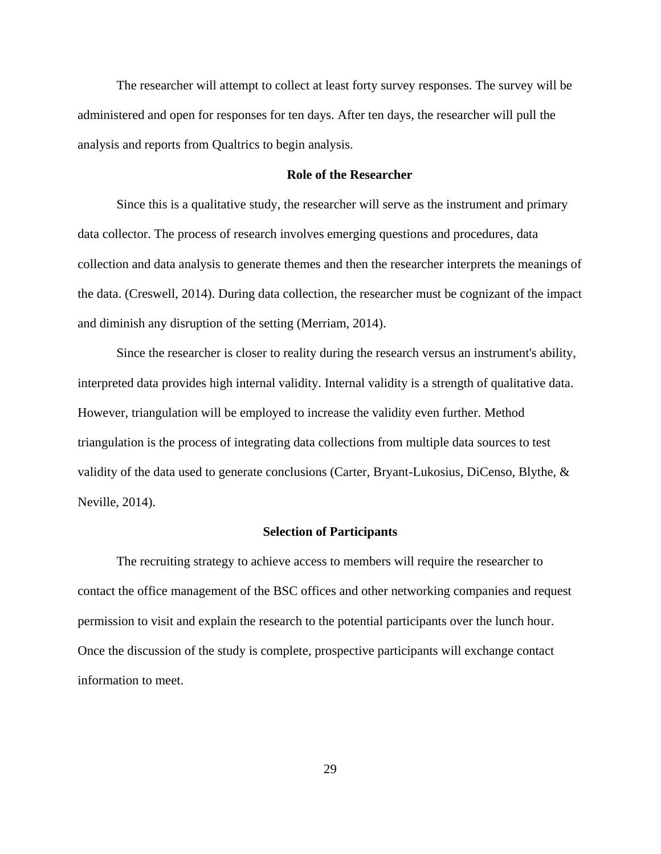The researcher will attempt to collect at least forty survey responses. The survey will be administered and open for responses for ten days. After ten days, the researcher will pull the analysis and reports from Qualtrics to begin analysis.

#### **Role of the Researcher**

Since this is a qualitative study, the researcher will serve as the instrument and primary data collector. The process of research involves emerging questions and procedures, data collection and data analysis to generate themes and then the researcher interprets the meanings of the data. (Creswell, 2014). During data collection, the researcher must be cognizant of the impact and diminish any disruption of the setting (Merriam, 2014).

Since the researcher is closer to reality during the research versus an instrument's ability, interpreted data provides high internal validity. Internal validity is a strength of qualitative data. However, triangulation will be employed to increase the validity even further. Method triangulation is the process of integrating data collections from multiple data sources to test validity of the data used to generate conclusions (Carter, Bryant-Lukosius, DiCenso, Blythe, & Neville, 2014).

#### **Selection of Participants**

The recruiting strategy to achieve access to members will require the researcher to contact the office management of the BSC offices and other networking companies and request permission to visit and explain the research to the potential participants over the lunch hour. Once the discussion of the study is complete, prospective participants will exchange contact information to meet.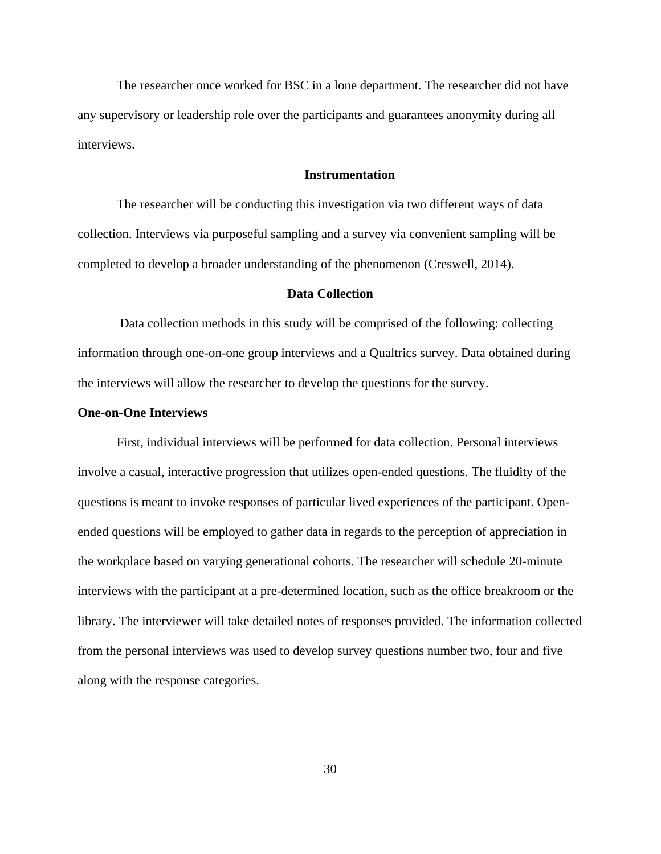The researcher once worked for BSC in a lone department. The researcher did not have any supervisory or leadership role over the participants and guarantees anonymity during all interviews.

### **Instrumentation**

The researcher will be conducting this investigation via two different ways of data collection. Interviews via purposeful sampling and a survey via convenient sampling will be completed to develop a broader understanding of the phenomenon (Creswell, 2014).

#### **Data Collection**

Data collection methods in this study will be comprised of the following: collecting information through one-on-one group interviews and a Qualtrics survey. Data obtained during the interviews will allow the researcher to develop the questions for the survey.

#### **One-on-One Interviews**

First, individual interviews will be performed for data collection. Personal interviews involve a casual, interactive progression that utilizes open-ended questions. The fluidity of the questions is meant to invoke responses of particular lived experiences of the participant. Openended questions will be employed to gather data in regards to the perception of appreciation in the workplace based on varying generational cohorts. The researcher will schedule 20-minute interviews with the participant at a pre-determined location, such as the office breakroom or the library. The interviewer will take detailed notes of responses provided. The information collected from the personal interviews was used to develop survey questions number two, four and five along with the response categories.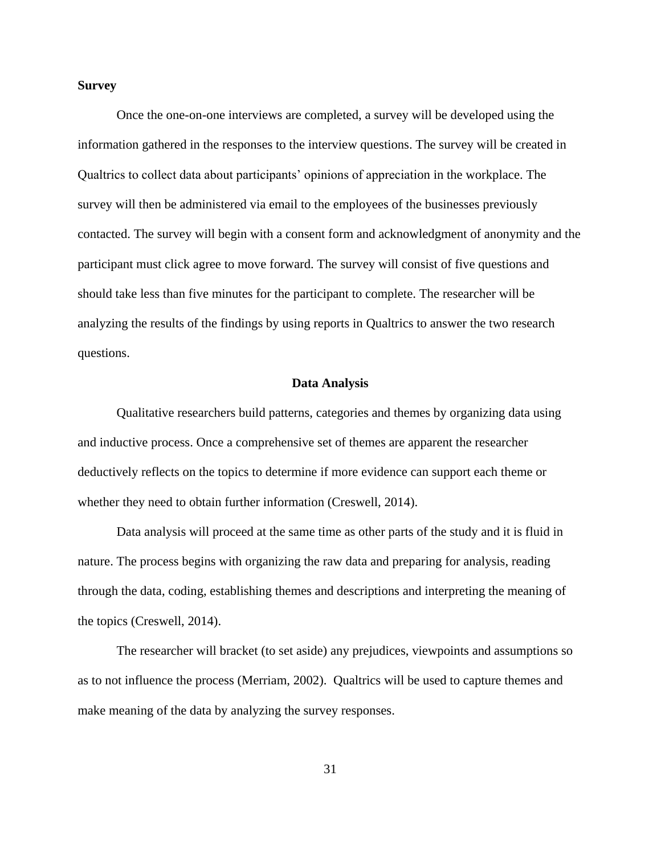## **Survey**

Once the one-on-one interviews are completed, a survey will be developed using the information gathered in the responses to the interview questions. The survey will be created in Qualtrics to collect data about participants' opinions of appreciation in the workplace. The survey will then be administered via email to the employees of the businesses previously contacted. The survey will begin with a consent form and acknowledgment of anonymity and the participant must click agree to move forward. The survey will consist of five questions and should take less than five minutes for the participant to complete. The researcher will be analyzing the results of the findings by using reports in Qualtrics to answer the two research questions.

# **Data Analysis**

Qualitative researchers build patterns, categories and themes by organizing data using and inductive process. Once a comprehensive set of themes are apparent the researcher deductively reflects on the topics to determine if more evidence can support each theme or whether they need to obtain further information (Creswell, 2014).

Data analysis will proceed at the same time as other parts of the study and it is fluid in nature. The process begins with organizing the raw data and preparing for analysis, reading through the data, coding, establishing themes and descriptions and interpreting the meaning of the topics (Creswell, 2014).

The researcher will bracket (to set aside) any prejudices, viewpoints and assumptions so as to not influence the process (Merriam, 2002). Qualtrics will be used to capture themes and make meaning of the data by analyzing the survey responses.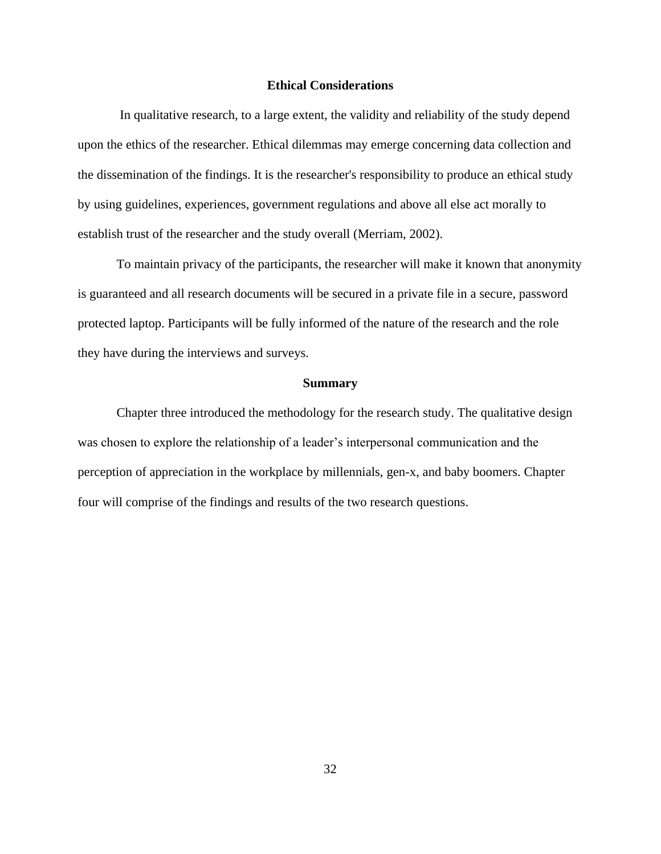#### **Ethical Considerations**

In qualitative research, to a large extent, the validity and reliability of the study depend upon the ethics of the researcher. Ethical dilemmas may emerge concerning data collection and the dissemination of the findings. It is the researcher's responsibility to produce an ethical study by using guidelines, experiences, government regulations and above all else act morally to establish trust of the researcher and the study overall (Merriam, 2002).

To maintain privacy of the participants, the researcher will make it known that anonymity is guaranteed and all research documents will be secured in a private file in a secure, password protected laptop. Participants will be fully informed of the nature of the research and the role they have during the interviews and surveys.

#### **Summary**

Chapter three introduced the methodology for the research study. The qualitative design was chosen to explore the relationship of a leader's interpersonal communication and the perception of appreciation in the workplace by millennials, gen-x, and baby boomers. Chapter four will comprise of the findings and results of the two research questions.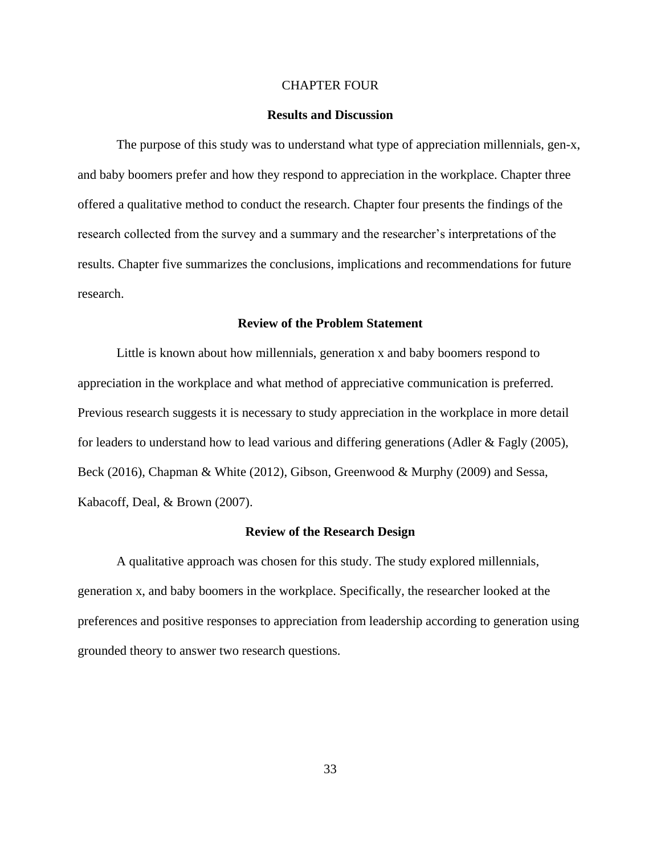#### CHAPTER FOUR

#### **Results and Discussion**

The purpose of this study was to understand what type of appreciation millennials, gen-x, and baby boomers prefer and how they respond to appreciation in the workplace. Chapter three offered a qualitative method to conduct the research. Chapter four presents the findings of the research collected from the survey and a summary and the researcher's interpretations of the results. Chapter five summarizes the conclusions, implications and recommendations for future research.

# **Review of the Problem Statement**

Little is known about how millennials, generation x and baby boomers respond to appreciation in the workplace and what method of appreciative communication is preferred. Previous research suggests it is necessary to study appreciation in the workplace in more detail for leaders to understand how to lead various and differing generations (Adler & Fagly (2005), Beck (2016), Chapman & White (2012), Gibson, Greenwood & Murphy (2009) and Sessa, Kabacoff, Deal, & Brown (2007).

#### **Review of the Research Design**

A qualitative approach was chosen for this study. The study explored millennials, generation x, and baby boomers in the workplace. Specifically, the researcher looked at the preferences and positive responses to appreciation from leadership according to generation using grounded theory to answer two research questions.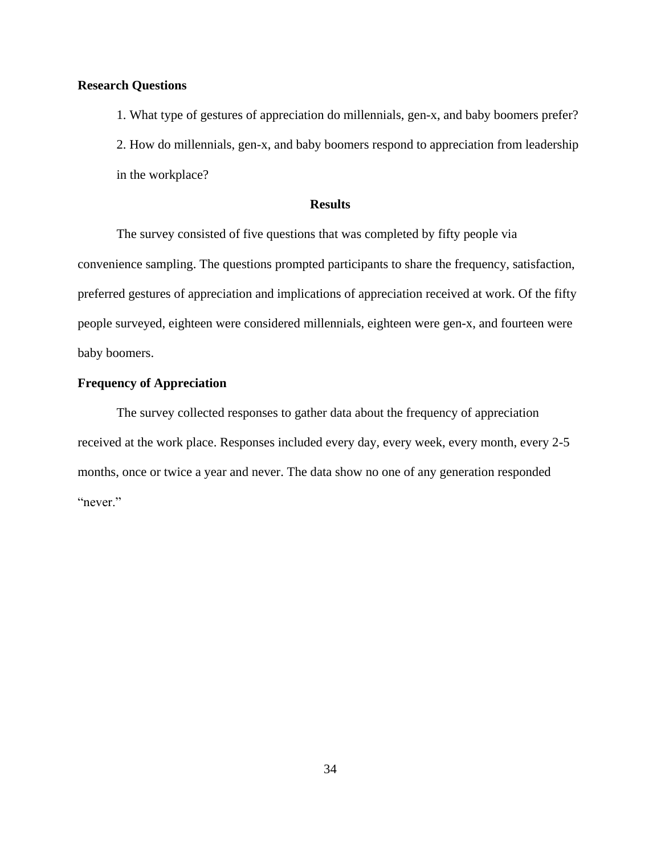# **Research Questions**

1. What type of gestures of appreciation do millennials, gen-x, and baby boomers prefer? 2. How do millennials, gen-x, and baby boomers respond to appreciation from leadership in the workplace?

# **Results**

The survey consisted of five questions that was completed by fifty people via convenience sampling. The questions prompted participants to share the frequency, satisfaction, preferred gestures of appreciation and implications of appreciation received at work. Of the fifty people surveyed, eighteen were considered millennials, eighteen were gen-x, and fourteen were baby boomers.

# **Frequency of Appreciation**

The survey collected responses to gather data about the frequency of appreciation received at the work place. Responses included every day, every week, every month, every 2-5 months, once or twice a year and never. The data show no one of any generation responded "never."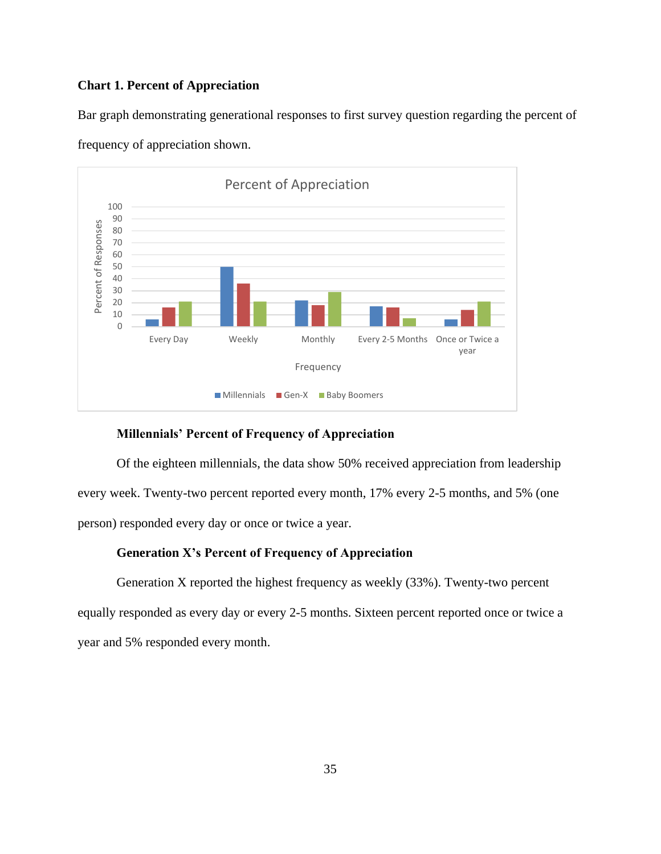# **Chart 1. Percent of Appreciation**

Bar graph demonstrating generational responses to first survey question regarding the percent of



frequency of appreciation shown.

# **Millennials' Percent of Frequency of Appreciation**

Of the eighteen millennials, the data show 50% received appreciation from leadership every week. Twenty-two percent reported every month, 17% every 2-5 months, and 5% (one person) responded every day or once or twice a year.

# **Generation X's Percent of Frequency of Appreciation**

Generation X reported the highest frequency as weekly (33%). Twenty-two percent equally responded as every day or every 2-5 months. Sixteen percent reported once or twice a year and 5% responded every month.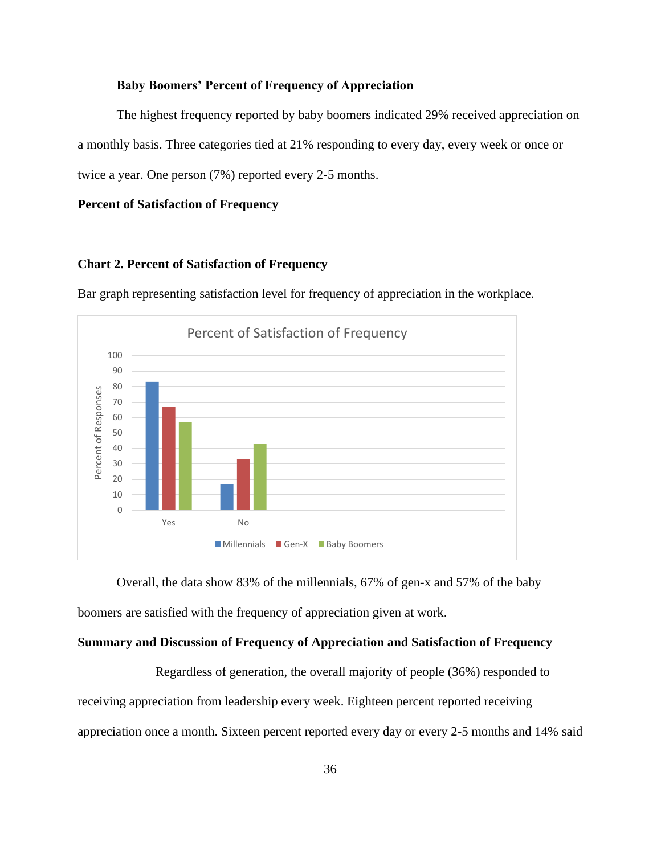### **Baby Boomers' Percent of Frequency of Appreciation**

The highest frequency reported by baby boomers indicated 29% received appreciation on a monthly basis. Three categories tied at 21% responding to every day, every week or once or twice a year. One person (7%) reported every 2-5 months.

# **Percent of Satisfaction of Frequency**

# **Chart 2. Percent of Satisfaction of Frequency**

Bar graph representing satisfaction level for frequency of appreciation in the workplace.



Overall, the data show 83% of the millennials, 67% of gen-x and 57% of the baby boomers are satisfied with the frequency of appreciation given at work.

#### **Summary and Discussion of Frequency of Appreciation and Satisfaction of Frequency**

Regardless of generation, the overall majority of people (36%) responded to receiving appreciation from leadership every week. Eighteen percent reported receiving appreciation once a month. Sixteen percent reported every day or every 2-5 months and 14% said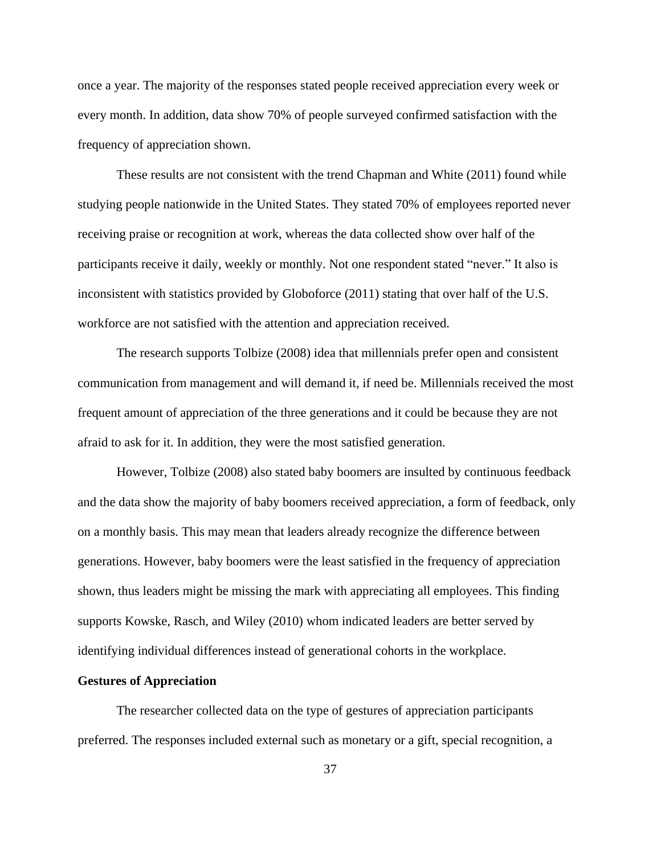once a year. The majority of the responses stated people received appreciation every week or every month. In addition, data show 70% of people surveyed confirmed satisfaction with the frequency of appreciation shown.

These results are not consistent with the trend Chapman and White (2011) found while studying people nationwide in the United States. They stated 70% of employees reported never receiving praise or recognition at work, whereas the data collected show over half of the participants receive it daily, weekly or monthly. Not one respondent stated "never." It also is inconsistent with statistics provided by Globoforce (2011) stating that over half of the U.S. workforce are not satisfied with the attention and appreciation received.

The research supports Tolbize (2008) idea that millennials prefer open and consistent communication from management and will demand it, if need be. Millennials received the most frequent amount of appreciation of the three generations and it could be because they are not afraid to ask for it. In addition, they were the most satisfied generation.

However, Tolbize (2008) also stated baby boomers are insulted by continuous feedback and the data show the majority of baby boomers received appreciation, a form of feedback, only on a monthly basis. This may mean that leaders already recognize the difference between generations. However, baby boomers were the least satisfied in the frequency of appreciation shown, thus leaders might be missing the mark with appreciating all employees. This finding supports Kowske, Rasch, and Wiley (2010) whom indicated leaders are better served by identifying individual differences instead of generational cohorts in the workplace.

#### **Gestures of Appreciation**

The researcher collected data on the type of gestures of appreciation participants preferred. The responses included external such as monetary or a gift, special recognition, a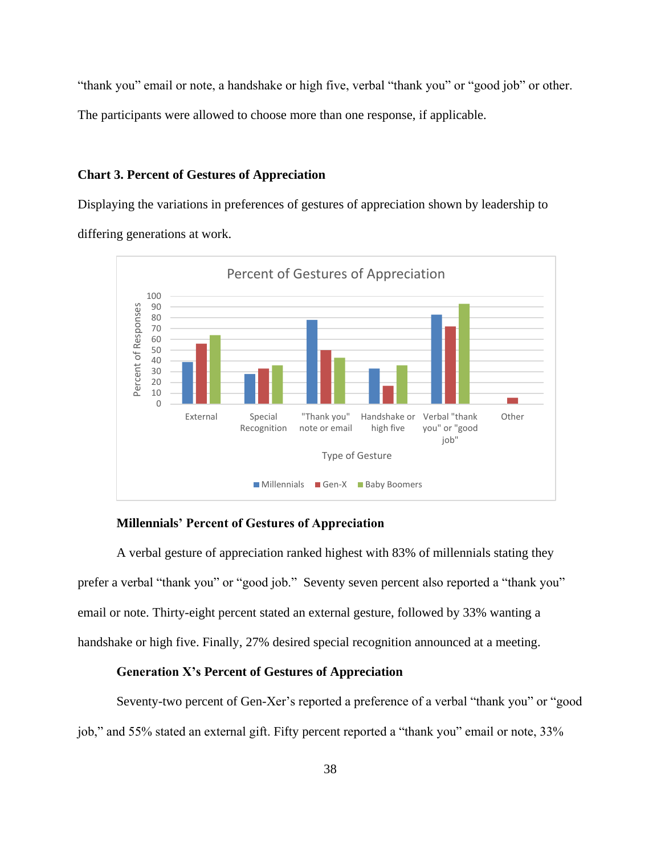"thank you" email or note, a handshake or high five, verbal "thank you" or "good job" or other.

The participants were allowed to choose more than one response, if applicable.

# **Chart 3. Percent of Gestures of Appreciation**

Displaying the variations in preferences of gestures of appreciation shown by leadership to differing generations at work.



#### **Millennials' Percent of Gestures of Appreciation**

A verbal gesture of appreciation ranked highest with 83% of millennials stating they prefer a verbal "thank you" or "good job." Seventy seven percent also reported a "thank you" email or note. Thirty-eight percent stated an external gesture, followed by 33% wanting a handshake or high five. Finally, 27% desired special recognition announced at a meeting.

# **Generation X's Percent of Gestures of Appreciation**

Seventy-two percent of Gen-Xer's reported a preference of a verbal "thank you" or "good job," and 55% stated an external gift. Fifty percent reported a "thank you" email or note, 33%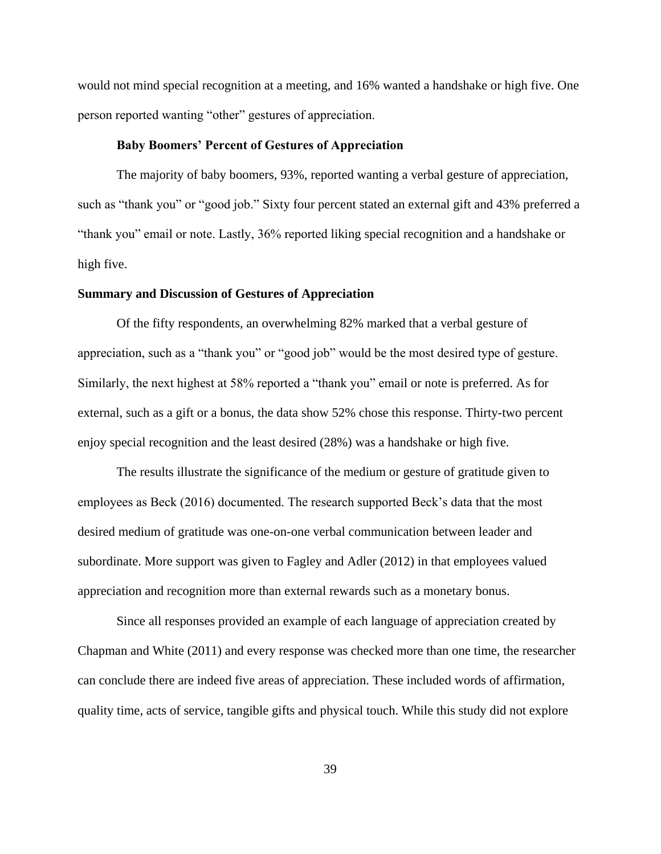would not mind special recognition at a meeting, and 16% wanted a handshake or high five. One person reported wanting "other" gestures of appreciation.

#### **Baby Boomers' Percent of Gestures of Appreciation**

The majority of baby boomers, 93%, reported wanting a verbal gesture of appreciation, such as "thank you" or "good job." Sixty four percent stated an external gift and 43% preferred a "thank you" email or note. Lastly, 36% reported liking special recognition and a handshake or high five.

#### **Summary and Discussion of Gestures of Appreciation**

Of the fifty respondents, an overwhelming 82% marked that a verbal gesture of appreciation, such as a "thank you" or "good job" would be the most desired type of gesture. Similarly, the next highest at 58% reported a "thank you" email or note is preferred. As for external, such as a gift or a bonus, the data show 52% chose this response. Thirty-two percent enjoy special recognition and the least desired (28%) was a handshake or high five.

The results illustrate the significance of the medium or gesture of gratitude given to employees as Beck (2016) documented. The research supported Beck's data that the most desired medium of gratitude was one-on-one verbal communication between leader and subordinate. More support was given to Fagley and Adler (2012) in that employees valued appreciation and recognition more than external rewards such as a monetary bonus.

Since all responses provided an example of each language of appreciation created by Chapman and White (2011) and every response was checked more than one time, the researcher can conclude there are indeed five areas of appreciation. These included words of affirmation, quality time, acts of service, tangible gifts and physical touch. While this study did not explore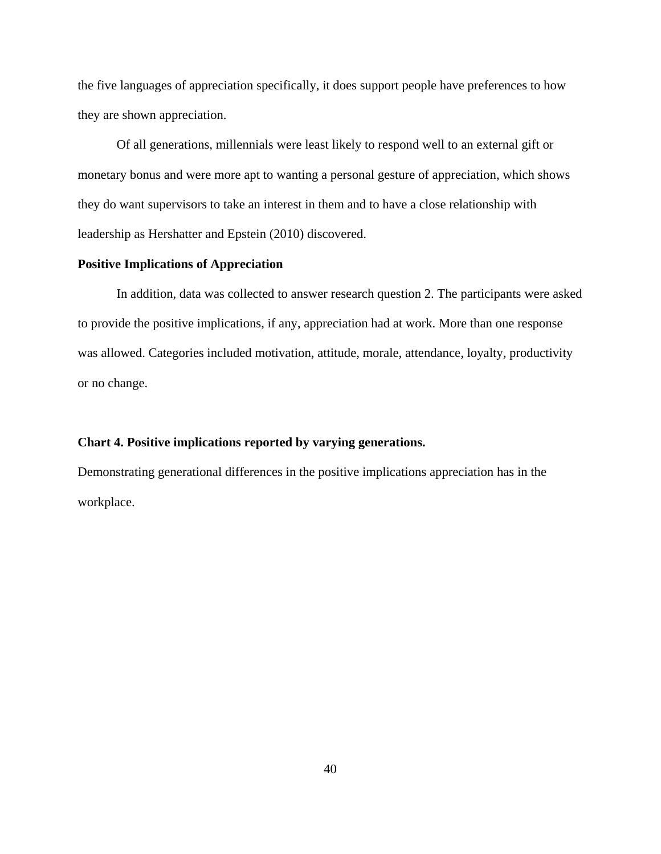the five languages of appreciation specifically, it does support people have preferences to how they are shown appreciation.

Of all generations, millennials were least likely to respond well to an external gift or monetary bonus and were more apt to wanting a personal gesture of appreciation, which shows they do want supervisors to take an interest in them and to have a close relationship with leadership as Hershatter and Epstein (2010) discovered.

# **Positive Implications of Appreciation**

In addition, data was collected to answer research question 2. The participants were asked to provide the positive implications, if any, appreciation had at work. More than one response was allowed. Categories included motivation, attitude, morale, attendance, loyalty, productivity or no change.

#### **Chart 4. Positive implications reported by varying generations.**

Demonstrating generational differences in the positive implications appreciation has in the workplace.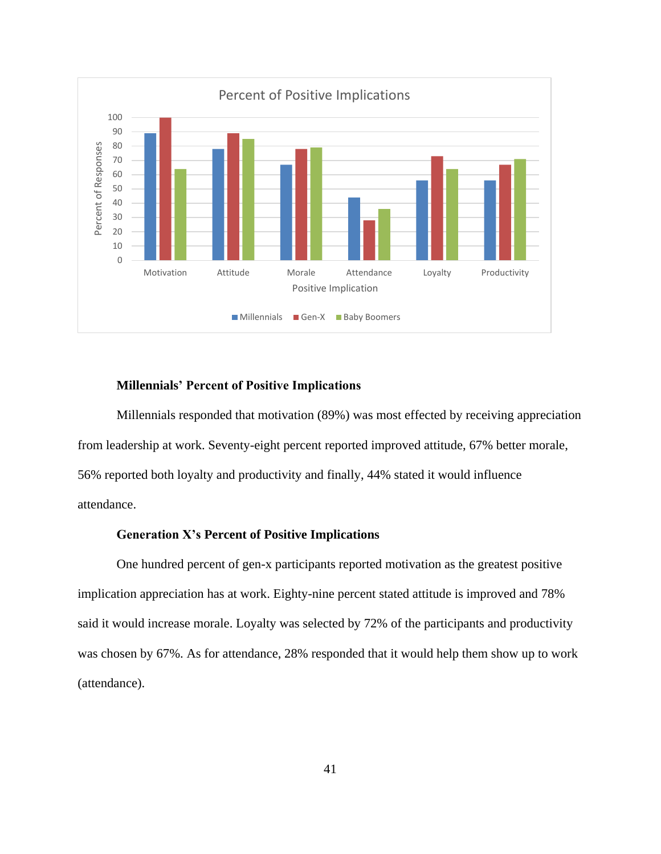

# **Millennials' Percent of Positive Implications**

Millennials responded that motivation (89%) was most effected by receiving appreciation from leadership at work. Seventy-eight percent reported improved attitude, 67% better morale, 56% reported both loyalty and productivity and finally, 44% stated it would influence attendance.

# **Generation X's Percent of Positive Implications**

One hundred percent of gen-x participants reported motivation as the greatest positive implication appreciation has at work. Eighty-nine percent stated attitude is improved and 78% said it would increase morale. Loyalty was selected by 72% of the participants and productivity was chosen by 67%. As for attendance, 28% responded that it would help them show up to work (attendance).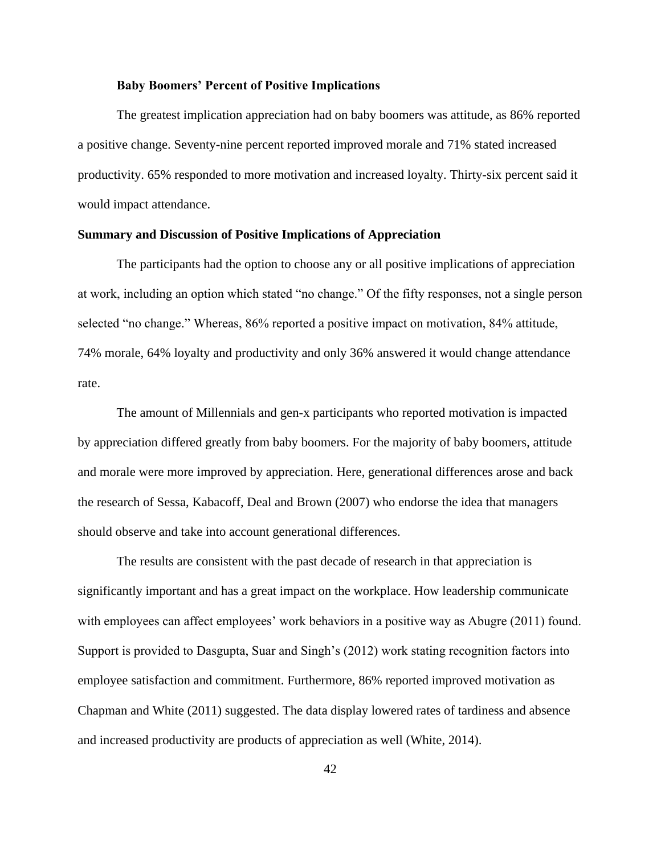## **Baby Boomers' Percent of Positive Implications**

The greatest implication appreciation had on baby boomers was attitude, as 86% reported a positive change. Seventy-nine percent reported improved morale and 71% stated increased productivity. 65% responded to more motivation and increased loyalty. Thirty-six percent said it would impact attendance.

# **Summary and Discussion of Positive Implications of Appreciation**

The participants had the option to choose any or all positive implications of appreciation at work, including an option which stated "no change." Of the fifty responses, not a single person selected "no change." Whereas, 86% reported a positive impact on motivation, 84% attitude, 74% morale, 64% loyalty and productivity and only 36% answered it would change attendance rate.

The amount of Millennials and gen-x participants who reported motivation is impacted by appreciation differed greatly from baby boomers. For the majority of baby boomers, attitude and morale were more improved by appreciation. Here, generational differences arose and back the research of Sessa, Kabacoff, Deal and Brown (2007) who endorse the idea that managers should observe and take into account generational differences.

The results are consistent with the past decade of research in that appreciation is significantly important and has a great impact on the workplace. How leadership communicate with employees can affect employees' work behaviors in a positive way as Abugre (2011) found. Support is provided to Dasgupta, Suar and Singh's (2012) work stating recognition factors into employee satisfaction and commitment. Furthermore, 86% reported improved motivation as Chapman and White (2011) suggested. The data display lowered rates of tardiness and absence and increased productivity are products of appreciation as well (White, 2014).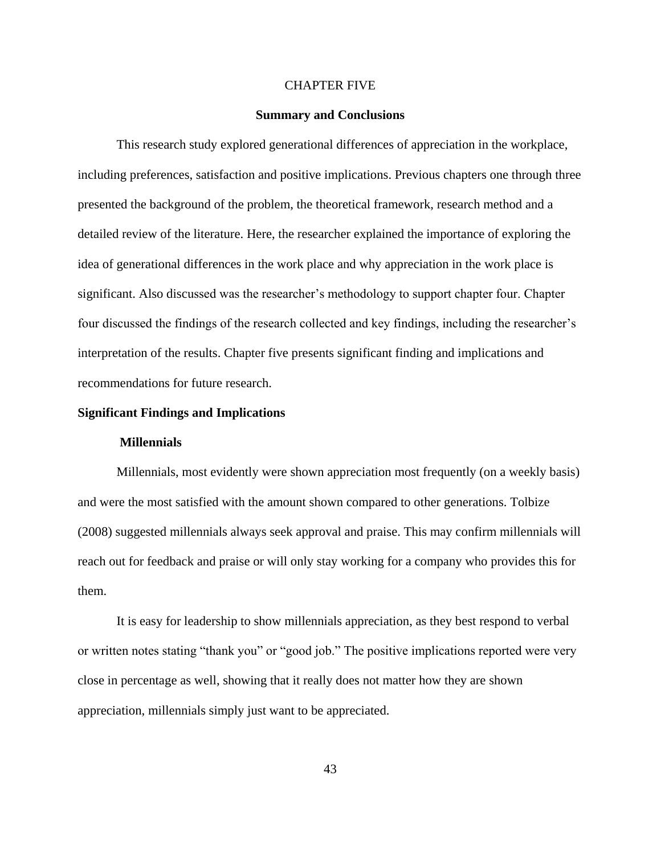#### CHAPTER FIVE

#### **Summary and Conclusions**

This research study explored generational differences of appreciation in the workplace, including preferences, satisfaction and positive implications. Previous chapters one through three presented the background of the problem, the theoretical framework, research method and a detailed review of the literature. Here, the researcher explained the importance of exploring the idea of generational differences in the work place and why appreciation in the work place is significant. Also discussed was the researcher's methodology to support chapter four. Chapter four discussed the findings of the research collected and key findings, including the researcher's interpretation of the results. Chapter five presents significant finding and implications and recommendations for future research.

# **Significant Findings and Implications**

#### **Millennials**

Millennials, most evidently were shown appreciation most frequently (on a weekly basis) and were the most satisfied with the amount shown compared to other generations. Tolbize (2008) suggested millennials always seek approval and praise. This may confirm millennials will reach out for feedback and praise or will only stay working for a company who provides this for them.

It is easy for leadership to show millennials appreciation, as they best respond to verbal or written notes stating "thank you" or "good job." The positive implications reported were very close in percentage as well, showing that it really does not matter how they are shown appreciation, millennials simply just want to be appreciated.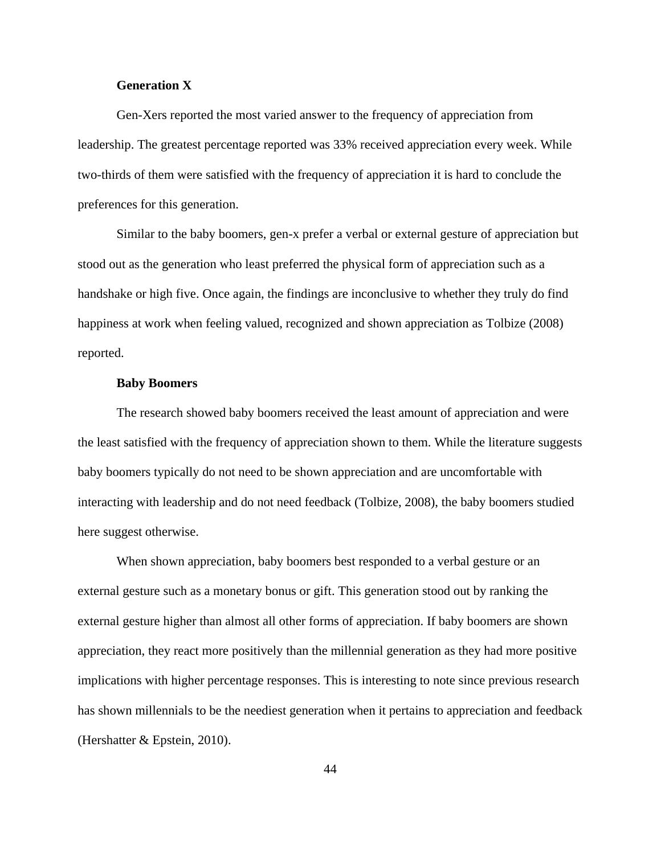# **Generation X**

Gen-Xers reported the most varied answer to the frequency of appreciation from leadership. The greatest percentage reported was 33% received appreciation every week. While two-thirds of them were satisfied with the frequency of appreciation it is hard to conclude the preferences for this generation.

Similar to the baby boomers, gen-x prefer a verbal or external gesture of appreciation but stood out as the generation who least preferred the physical form of appreciation such as a handshake or high five. Once again, the findings are inconclusive to whether they truly do find happiness at work when feeling valued, recognized and shown appreciation as Tolbize (2008) reported.

#### **Baby Boomers**

The research showed baby boomers received the least amount of appreciation and were the least satisfied with the frequency of appreciation shown to them. While the literature suggests baby boomers typically do not need to be shown appreciation and are uncomfortable with interacting with leadership and do not need feedback (Tolbize, 2008), the baby boomers studied here suggest otherwise.

When shown appreciation, baby boomers best responded to a verbal gesture or an external gesture such as a monetary bonus or gift. This generation stood out by ranking the external gesture higher than almost all other forms of appreciation. If baby boomers are shown appreciation, they react more positively than the millennial generation as they had more positive implications with higher percentage responses. This is interesting to note since previous research has shown millennials to be the neediest generation when it pertains to appreciation and feedback (Hershatter & Epstein, 2010).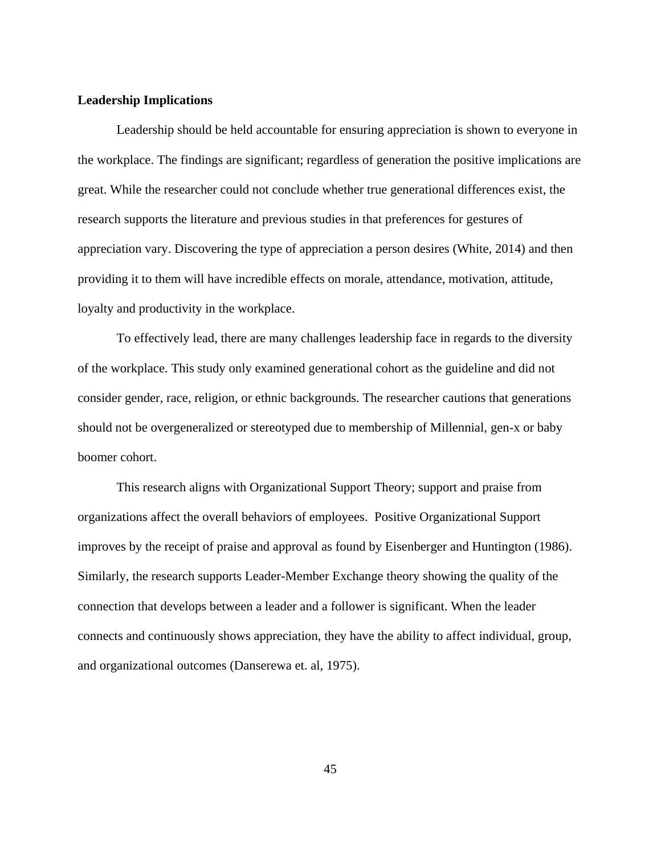# **Leadership Implications**

Leadership should be held accountable for ensuring appreciation is shown to everyone in the workplace. The findings are significant; regardless of generation the positive implications are great. While the researcher could not conclude whether true generational differences exist, the research supports the literature and previous studies in that preferences for gestures of appreciation vary. Discovering the type of appreciation a person desires (White, 2014) and then providing it to them will have incredible effects on morale, attendance, motivation, attitude, loyalty and productivity in the workplace.

To effectively lead, there are many challenges leadership face in regards to the diversity of the workplace. This study only examined generational cohort as the guideline and did not consider gender, race, religion, or ethnic backgrounds. The researcher cautions that generations should not be overgeneralized or stereotyped due to membership of Millennial, gen-x or baby boomer cohort.

This research aligns with Organizational Support Theory; support and praise from organizations affect the overall behaviors of employees. Positive Organizational Support improves by the receipt of praise and approval as found by Eisenberger and Huntington (1986). Similarly, the research supports Leader-Member Exchange theory showing the quality of the connection that develops between a leader and a follower is significant. When the leader connects and continuously shows appreciation, they have the ability to affect individual, group, and organizational outcomes (Danserewa et. al, 1975).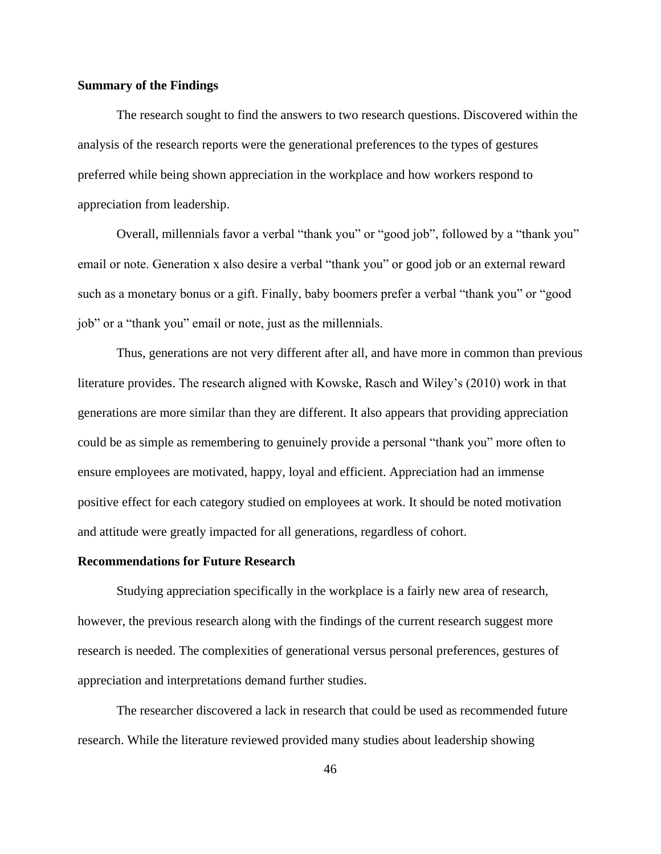# **Summary of the Findings**

The research sought to find the answers to two research questions. Discovered within the analysis of the research reports were the generational preferences to the types of gestures preferred while being shown appreciation in the workplace and how workers respond to appreciation from leadership.

Overall, millennials favor a verbal "thank you" or "good job", followed by a "thank you" email or note. Generation x also desire a verbal "thank you" or good job or an external reward such as a monetary bonus or a gift. Finally, baby boomers prefer a verbal "thank you" or "good job" or a "thank you" email or note, just as the millennials.

Thus, generations are not very different after all, and have more in common than previous literature provides. The research aligned with Kowske, Rasch and Wiley's (2010) work in that generations are more similar than they are different. It also appears that providing appreciation could be as simple as remembering to genuinely provide a personal "thank you" more often to ensure employees are motivated, happy, loyal and efficient. Appreciation had an immense positive effect for each category studied on employees at work. It should be noted motivation and attitude were greatly impacted for all generations, regardless of cohort.

#### **Recommendations for Future Research**

Studying appreciation specifically in the workplace is a fairly new area of research, however, the previous research along with the findings of the current research suggest more research is needed. The complexities of generational versus personal preferences, gestures of appreciation and interpretations demand further studies.

The researcher discovered a lack in research that could be used as recommended future research. While the literature reviewed provided many studies about leadership showing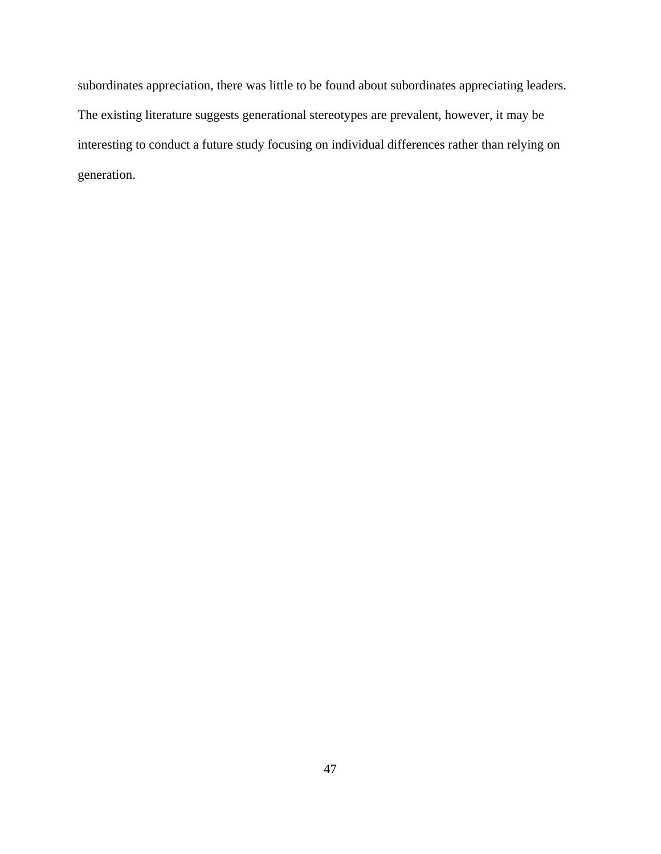subordinates appreciation, there was little to be found about subordinates appreciating leaders. The existing literature suggests generational stereotypes are prevalent, however, it may be interesting to conduct a future study focusing on individual differences rather than relying on generation.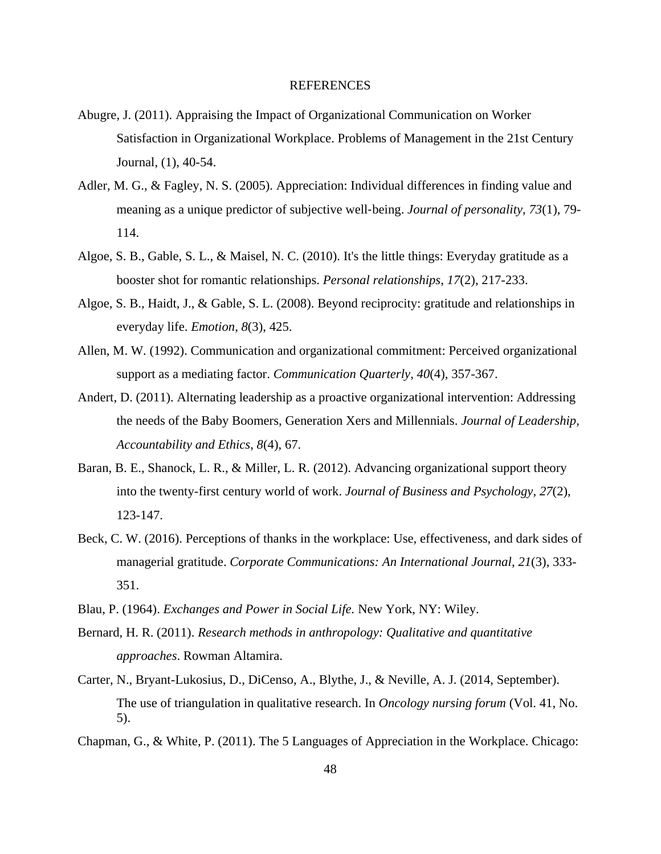#### REFERENCES

- Abugre, J. (2011). Appraising the Impact of Organizational Communication on Worker Satisfaction in Organizational Workplace. Problems of Management in the 21st Century Journal, (1), 40-54.
- Adler, M. G., & Fagley, N. S. (2005). Appreciation: Individual differences in finding value and meaning as a unique predictor of subjective well-being. *Journal of personality*, 73(1), 79-114.
- Algoe, S. B., Gable, S. L., & Maisel, N. C. (2010). It's the little things: Everyday gratitude as a booster shot for romantic relationships. *Personal relationships*, *17*(2), 217-233.
- Algoe, S. B., Haidt, J., & Gable, S. L. (2008). Beyond reciprocity: gratitude and relationships in everyday life. *Emotion*, *8*(3), 425.
- Allen, M. W. (1992). Communication and organizational commitment: Perceived organizational support as a mediating factor. *Communication Quarterly*, *40*(4), 357-367.
- Andert, D. (2011). Alternating leadership as a proactive organizational intervention: Addressing the needs of the Baby Boomers, Generation Xers and Millennials. *Journal of Leadership, Accountability and Ethics*, *8*(4), 67.
- Baran, B. E., Shanock, L. R., & Miller, L. R. (2012). Advancing organizational support theory into the twenty-first century world of work. *Journal of Business and Psychology*, *27*(2), 123-147.
- Beck, C. W. (2016). Perceptions of thanks in the workplace: Use, effectiveness, and dark sides of managerial gratitude. *Corporate Communications: An International Journal*, *21*(3), 333- 351.
- Blau, P. (1964). *Exchanges and Power in Social Life.* New York, NY: Wiley.
- Bernard, H. R. (2011). *Research methods in anthropology: Qualitative and quantitative approaches*. Rowman Altamira.
- Carter, N., Bryant-Lukosius, D., DiCenso, A., Blythe, J., & Neville, A. J. (2014, September). The use of triangulation in qualitative research. In *Oncology nursing forum* (Vol. 41, No. 5).
- Chapman, G., & White, P. (2011). The 5 Languages of Appreciation in the Workplace. Chicago: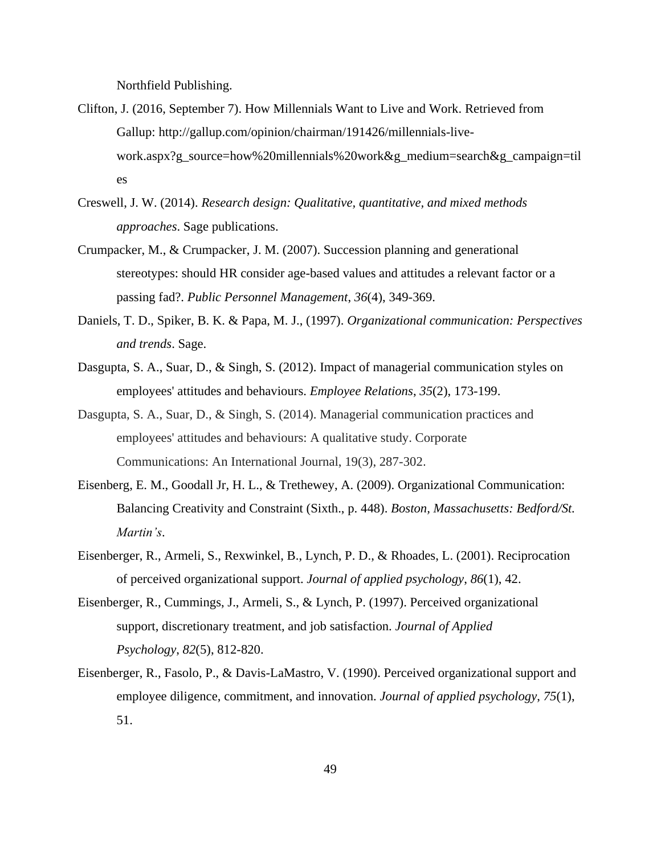Northfield Publishing.

- Clifton, J. (2016, September 7). How Millennials Want to Live and Work. Retrieved from Gallup: http://gallup.com/opinion/chairman/191426/millennials-livework.aspx?g\_source=how%20millennials%20work&g\_medium=search&g\_campaign=til es
- Creswell, J. W. (2014). *Research design: Qualitative, quantitative, and mixed methods approaches*. Sage publications.
- Crumpacker, M., & Crumpacker, J. M. (2007). Succession planning and generational stereotypes: should HR consider age-based values and attitudes a relevant factor or a passing fad?. *Public Personnel Management*, *36*(4), 349-369.
- Daniels, T. D., Spiker, B. K. & Papa, M. J., (1997). *Organizational communication: Perspectives and trends*. Sage.
- Dasgupta, S. A., Suar, D., & Singh, S. (2012). Impact of managerial communication styles on employees' attitudes and behaviours. *Employee Relations*, *35*(2), 173-199.
- Dasgupta, S. A., Suar, D., & Singh, S. (2014). Managerial communication practices and employees' attitudes and behaviours: A qualitative study. Corporate Communications: An International Journal, 19(3), 287-302.
- Eisenberg, E. M., Goodall Jr, H. L., & Trethewey, A. (2009). Organizational Communication: Balancing Creativity and Constraint (Sixth., p. 448). *Boston, Massachusetts: Bedford/St. Martin's*.
- Eisenberger, R., Armeli, S., Rexwinkel, B., Lynch, P. D., & Rhoades, L. (2001). Reciprocation of perceived organizational support. *Journal of applied psychology*, *86*(1), 42.
- Eisenberger, R., Cummings, J., Armeli, S., & Lynch, P. (1997). Perceived organizational support, discretionary treatment, and job satisfaction. *Journal of Applied Psychology*, *82*(5), 812-820.
- Eisenberger, R., Fasolo, P., & Davis-LaMastro, V. (1990). Perceived organizational support and employee diligence, commitment, and innovation. *Journal of applied psychology*, *75*(1), 51.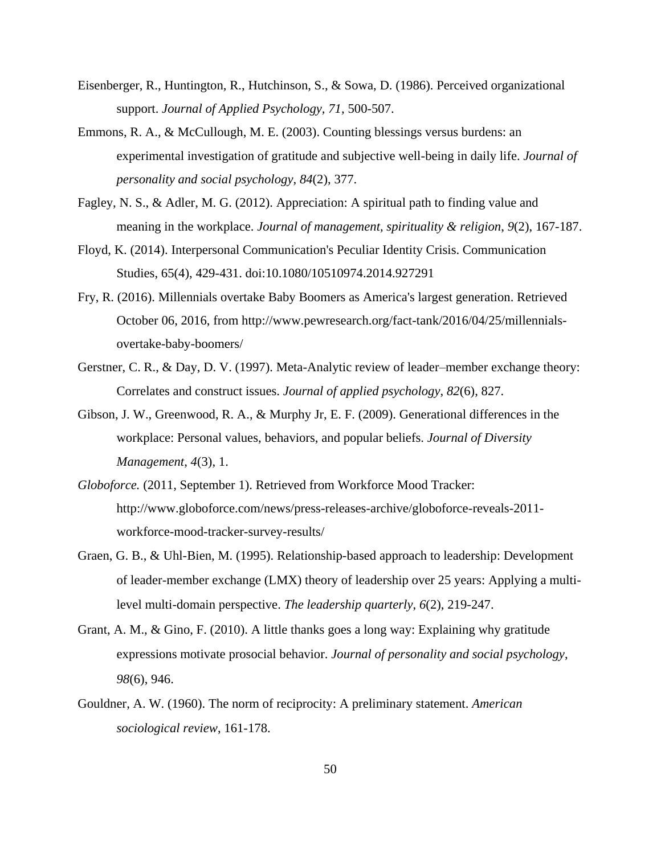- Eisenberger, R., Huntington, R., Hutchinson, S., & Sowa, D. (1986). Perceived organizational support. *Journal of Applied Psychology, 71,* 500-507.
- Emmons, R. A., & McCullough, M. E. (2003). Counting blessings versus burdens: an experimental investigation of gratitude and subjective well-being in daily life. *Journal of personality and social psychology*, *84*(2), 377.
- Fagley, N. S., & Adler, M. G. (2012). Appreciation: A spiritual path to finding value and meaning in the workplace. *Journal of management, spirituality & religion*, *9*(2), 167-187.
- Floyd, K. (2014). Interpersonal Communication's Peculiar Identity Crisis. Communication Studies, 65(4), 429-431. doi:10.1080/10510974.2014.927291
- Fry, R. (2016). Millennials overtake Baby Boomers as America's largest generation. Retrieved October 06, 2016, from http://www.pewresearch.org/fact-tank/2016/04/25/millennialsovertake-baby-boomers/
- Gerstner, C. R., & Day, D. V. (1997). Meta-Analytic review of leader–member exchange theory: Correlates and construct issues. *Journal of applied psychology*, *82*(6), 827.
- Gibson, J. W., Greenwood, R. A., & Murphy Jr, E. F. (2009). Generational differences in the workplace: Personal values, behaviors, and popular beliefs. *Journal of Diversity Management*, *4*(3), 1.
- *Globoforce.* (2011, September 1). Retrieved from Workforce Mood Tracker: http://www.globoforce.com/news/press-releases-archive/globoforce-reveals-2011 workforce-mood-tracker-survey-results/
- Graen, G. B., & Uhl-Bien, M. (1995). Relationship-based approach to leadership: Development of leader-member exchange (LMX) theory of leadership over 25 years: Applying a multilevel multi-domain perspective. *The leadership quarterly*, *6*(2), 219-247.
- Grant, A. M., & Gino, F. (2010). A little thanks goes a long way: Explaining why gratitude expressions motivate prosocial behavior. *Journal of personality and social psychology*, *98*(6), 946.
- Gouldner, A. W. (1960). The norm of reciprocity: A preliminary statement. *American sociological review*, 161-178.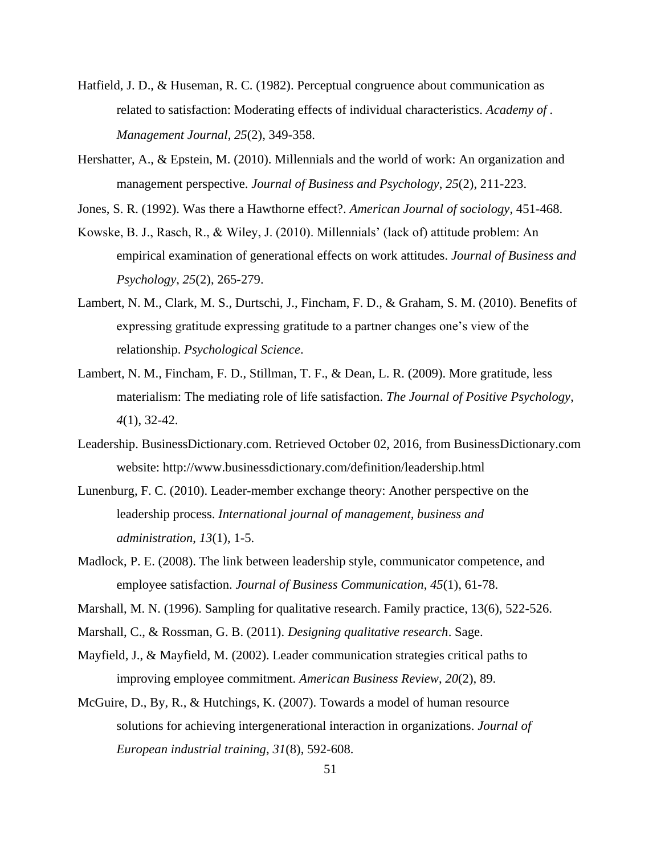- Hatfield, J. D., & Huseman, R. C. (1982). Perceptual congruence about communication as related to satisfaction: Moderating effects of individual characteristics. *Academy of . Management Journal*, *25*(2), 349-358.
- Hershatter, A., & Epstein, M. (2010). Millennials and the world of work: An organization and management perspective. *Journal of Business and Psychology*, *25*(2), 211-223.
- Jones, S. R. (1992). Was there a Hawthorne effect?. *American Journal of sociology*, 451-468.
- Kowske, B. J., Rasch, R., & Wiley, J. (2010). Millennials' (lack of) attitude problem: An empirical examination of generational effects on work attitudes. *Journal of Business and Psychology*, *25*(2), 265-279.
- Lambert, N. M., Clark, M. S., Durtschi, J., Fincham, F. D., & Graham, S. M. (2010). Benefits of expressing gratitude expressing gratitude to a partner changes one's view of the relationship. *Psychological Science*.
- Lambert, N. M., Fincham, F. D., Stillman, T. F., & Dean, L. R. (2009). More gratitude, less materialism: The mediating role of life satisfaction. *The Journal of Positive Psychology*, *4*(1), 32-42.
- Leadership. BusinessDictionary.com. Retrieved October 02, 2016, from BusinessDictionary.com website: http://www.businessdictionary.com/definition/leadership.html
- Lunenburg, F. C. (2010). Leader-member exchange theory: Another perspective on the leadership process. *International journal of management, business and administration*, *13*(1), 1-5.
- Madlock, P. E. (2008). The link between leadership style, communicator competence, and employee satisfaction. *Journal of Business Communication*, *45*(1), 61-78.
- Marshall, M. N. (1996). Sampling for qualitative research. Family practice, 13(6), 522-526.
- Marshall, C., & Rossman, G. B. (2011). *Designing qualitative research*. Sage.
- Mayfield, J., & Mayfield, M. (2002). Leader communication strategies critical paths to improving employee commitment. *American Business Review*, *20*(2), 89.
- McGuire, D., By, R., & Hutchings, K. (2007). Towards a model of human resource solutions for achieving intergenerational interaction in organizations. *Journal of European industrial training*, *31*(8), 592-608.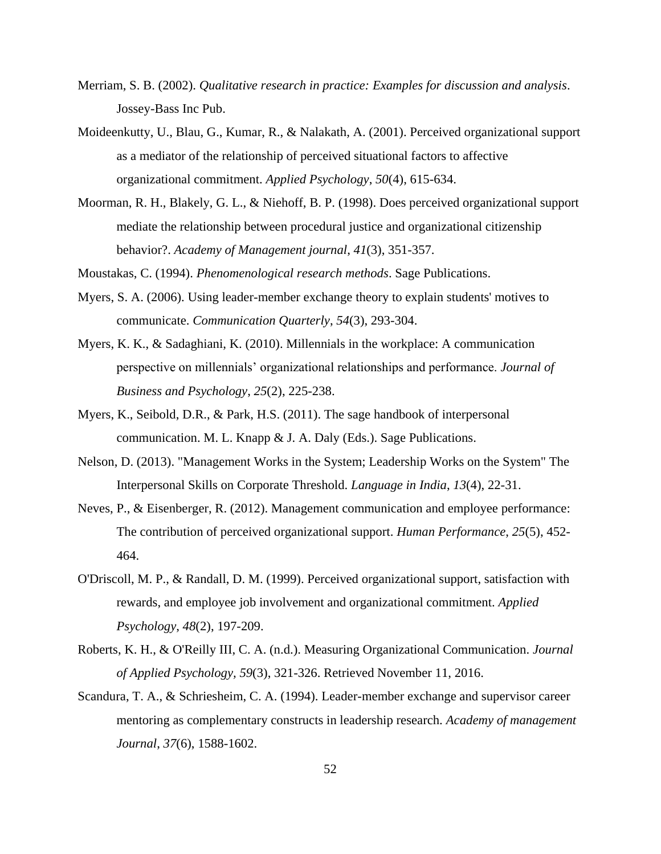- Merriam, S. B. (2002). *Qualitative research in practice: Examples for discussion and analysis*. Jossey-Bass Inc Pub.
- Moideenkutty, U., Blau, G., Kumar, R., & Nalakath, A. (2001). Perceived organizational support as a mediator of the relationship of perceived situational factors to affective organizational commitment. *Applied Psychology*, *50*(4), 615-634.
- Moorman, R. H., Blakely, G. L., & Niehoff, B. P. (1998). Does perceived organizational support mediate the relationship between procedural justice and organizational citizenship behavior?. *Academy of Management journal*, *41*(3), 351-357.

Moustakas, C. (1994). *Phenomenological research methods*. Sage Publications.

- Myers, S. A. (2006). Using leader-member exchange theory to explain students' motives to communicate. *Communication Quarterly*, *54*(3), 293-304.
- Myers, K. K., & Sadaghiani, K. (2010). Millennials in the workplace: A communication perspective on millennials' organizational relationships and performance. *Journal of Business and Psychology*, *25*(2), 225-238.
- Myers, K., Seibold, D.R., & Park, H.S. (2011). The sage handbook of interpersonal communication. M. L. Knapp & J. A. Daly (Eds.). Sage Publications.
- Nelson, D. (2013). "Management Works in the System; Leadership Works on the System" The Interpersonal Skills on Corporate Threshold. *Language in India*, *13*(4), 22-31.
- Neves, P., & Eisenberger, R. (2012). Management communication and employee performance: The contribution of perceived organizational support. *Human Performance*, *25*(5), 452- 464.
- O'Driscoll, M. P., & Randall, D. M. (1999). Perceived organizational support, satisfaction with rewards, and employee job involvement and organizational commitment. *Applied Psychology*, *48*(2), 197-209.
- Roberts, K. H., & O'Reilly III, C. A. (n.d.). Measuring Organizational Communication. *Journal of Applied Psychology, 59*(3), 321-326. Retrieved November 11, 2016.
- Scandura, T. A., & Schriesheim, C. A. (1994). Leader-member exchange and supervisor career mentoring as complementary constructs in leadership research. *Academy of management Journal*, *37*(6), 1588-1602.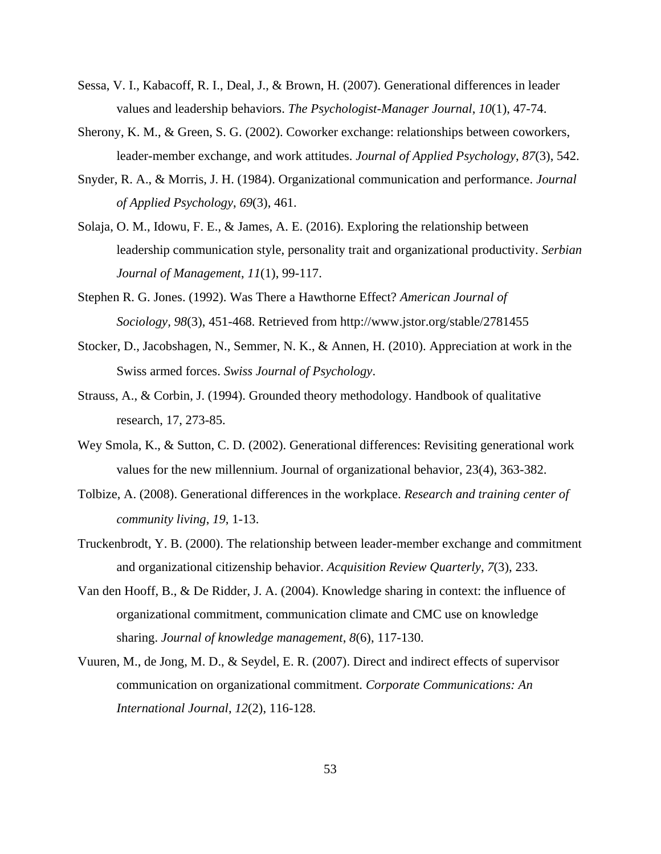- Sessa, V. I., Kabacoff, R. I., Deal, J., & Brown, H. (2007). Generational differences in leader values and leadership behaviors. *The Psychologist-Manager Journal*, *10*(1), 47-74.
- Sherony, K. M., & Green, S. G. (2002). Coworker exchange: relationships between coworkers, leader-member exchange, and work attitudes. *Journal of Applied Psychology*, *87*(3), 542.
- Snyder, R. A., & Morris, J. H. (1984). Organizational communication and performance. *Journal of Applied Psychology*, *69*(3), 461.
- Solaja, O. M., Idowu, F. E., & James, A. E. (2016). Exploring the relationship between leadership communication style, personality trait and organizational productivity. *Serbian Journal of Management*, *11*(1), 99-117.
- Stephen R. G. Jones. (1992). Was There a Hawthorne Effect? *American Journal of Sociology, 98*(3), 451-468. Retrieved from http://www.jstor.org/stable/2781455
- Stocker, D., Jacobshagen, N., Semmer, N. K., & Annen, H. (2010). Appreciation at work in the Swiss armed forces. *Swiss Journal of Psychology*.
- Strauss, A., & Corbin, J. (1994). Grounded theory methodology. Handbook of qualitative research, 17, 273-85.
- Wey Smola, K., & Sutton, C. D. (2002). Generational differences: Revisiting generational work values for the new millennium. Journal of organizational behavior, 23(4), 363-382.
- Tolbize, A. (2008). Generational differences in the workplace. *Research and training center of community living*, *19*, 1-13.
- Truckenbrodt, Y. B. (2000). The relationship between leader-member exchange and commitment and organizational citizenship behavior. *Acquisition Review Quarterly*, *7*(3), 233.
- Van den Hooff, B., & De Ridder, J. A. (2004). Knowledge sharing in context: the influence of organizational commitment, communication climate and CMC use on knowledge sharing. *Journal of knowledge management*, *8*(6), 117-130.
- Vuuren, M., de Jong, M. D., & Seydel, E. R. (2007). Direct and indirect effects of supervisor communication on organizational commitment. *Corporate Communications: An International Journal*, *12*(2), 116-128.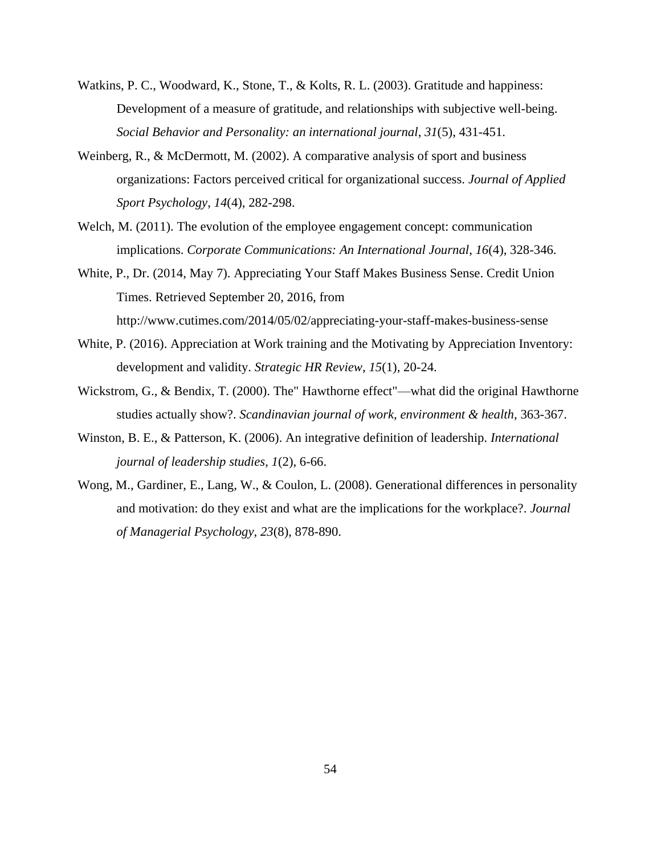- Watkins, P. C., Woodward, K., Stone, T., & Kolts, R. L. (2003). Gratitude and happiness: Development of a measure of gratitude, and relationships with subjective well-being. *Social Behavior and Personality: an international journal*, *31*(5), 431-451.
- Weinberg, R., & McDermott, M. (2002). A comparative analysis of sport and business organizations: Factors perceived critical for organizational success. *Journal of Applied Sport Psychology*, *14*(4), 282-298.
- Welch, M. (2011). The evolution of the employee engagement concept: communication implications. *Corporate Communications: An International Journal*, *16*(4), 328-346.
- White, P., Dr. (2014, May 7). Appreciating Your Staff Makes Business Sense. Credit Union Times. Retrieved September 20, 2016, from <http://www.cutimes.com/2014/05/02/appreciating-your-staff-makes-business-sense>
- White, P. (2016). Appreciation at Work training and the Motivating by Appreciation Inventory: development and validity. *Strategic HR Review*, *15*(1), 20-24.
- Wickstrom, G., & Bendix, T. (2000). The" Hawthorne effect"—what did the original Hawthorne studies actually show?. *Scandinavian journal of work, environment & health*, 363-367.
- Winston, B. E., & Patterson, K. (2006). An integrative definition of leadership. *International journal of leadership studies*, *1*(2), 6-66.
- Wong, M., Gardiner, E., Lang, W., & Coulon, L. (2008). Generational differences in personality and motivation: do they exist and what are the implications for the workplace?. *Journal of Managerial Psychology*, *23*(8), 878-890.